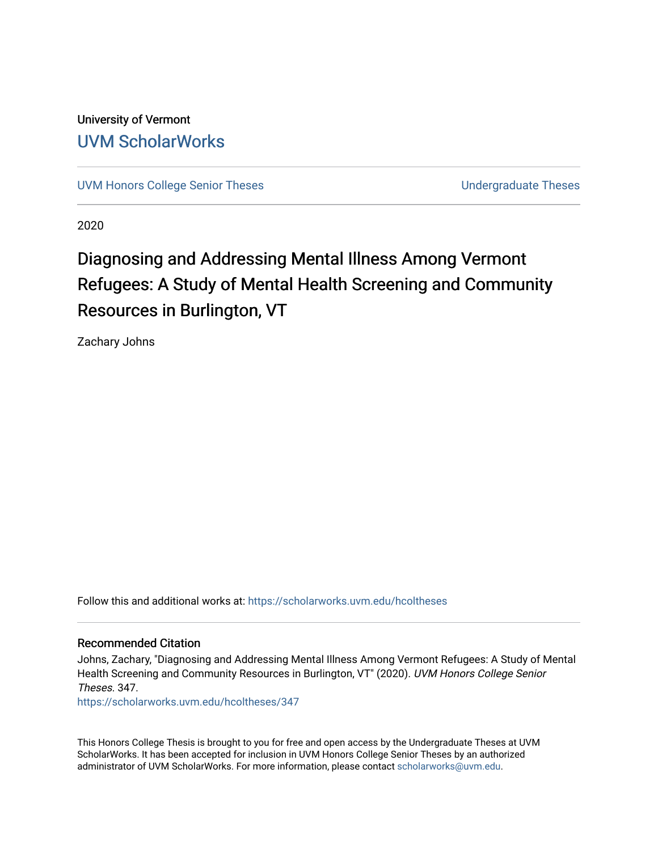University of Vermont [UVM ScholarWorks](https://scholarworks.uvm.edu/)

[UVM Honors College Senior Theses](https://scholarworks.uvm.edu/hcoltheses) **No. 2018 Undergraduate Theses** 

2020

# Diagnosing and Addressing Mental Illness Among Vermont Refugees: A Study of Mental Health Screening and Community Resources in Burlington, VT

Zachary Johns

Follow this and additional works at: [https://scholarworks.uvm.edu/hcoltheses](https://scholarworks.uvm.edu/hcoltheses?utm_source=scholarworks.uvm.edu%2Fhcoltheses%2F347&utm_medium=PDF&utm_campaign=PDFCoverPages) 

#### Recommended Citation

Johns, Zachary, "Diagnosing and Addressing Mental Illness Among Vermont Refugees: A Study of Mental Health Screening and Community Resources in Burlington, VT" (2020). UVM Honors College Senior Theses. 347.

[https://scholarworks.uvm.edu/hcoltheses/347](https://scholarworks.uvm.edu/hcoltheses/347?utm_source=scholarworks.uvm.edu%2Fhcoltheses%2F347&utm_medium=PDF&utm_campaign=PDFCoverPages) 

This Honors College Thesis is brought to you for free and open access by the Undergraduate Theses at UVM ScholarWorks. It has been accepted for inclusion in UVM Honors College Senior Theses by an authorized administrator of UVM ScholarWorks. For more information, please contact [scholarworks@uvm.edu](mailto:scholarworks@uvm.edu).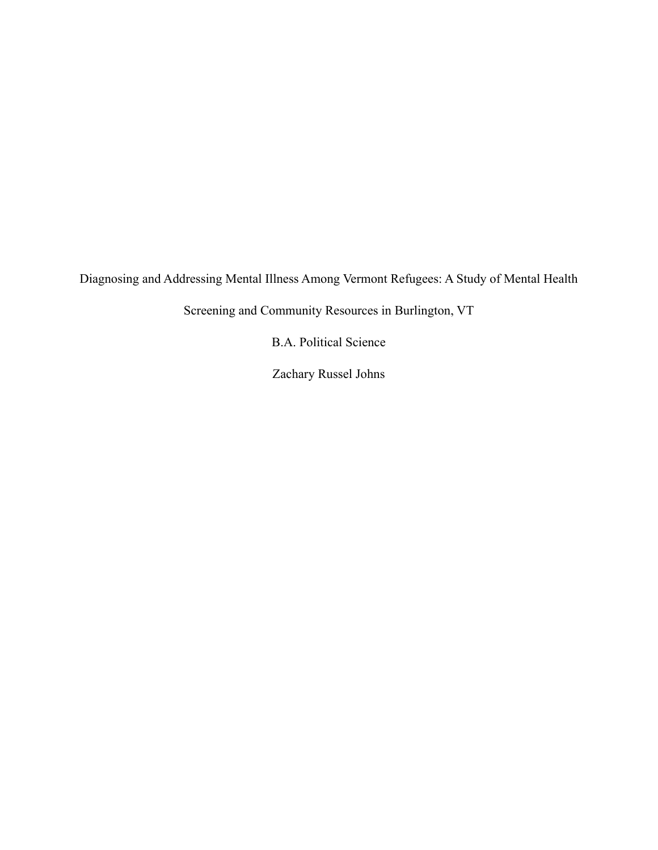Diagnosing and Addressing Mental Illness Among Vermont Refugees: A Study of Mental Health

Screening and Community Resources in Burlington, VT

B.A. Political Science

Zachary Russel Johns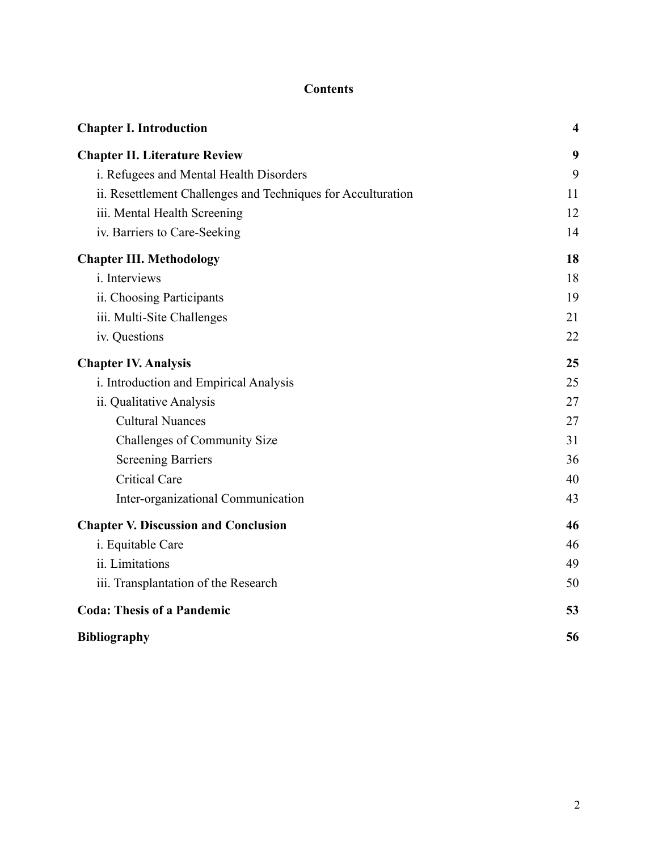# **Contents**

| <b>Chapter I. Introduction</b>                               | $\overline{\mathbf{4}}$ |
|--------------------------------------------------------------|-------------------------|
| <b>Chapter II. Literature Review</b>                         | 9                       |
| i. Refugees and Mental Health Disorders                      | 9                       |
| ii. Resettlement Challenges and Techniques for Acculturation | 11                      |
| iii. Mental Health Screening                                 | 12                      |
| iv. Barriers to Care-Seeking                                 | 14                      |
| <b>Chapter III. Methodology</b>                              | 18                      |
| <i>i</i> . Interviews                                        | 18                      |
| ii. Choosing Participants                                    | 19                      |
| iii. Multi-Site Challenges                                   | 21                      |
| iv. Questions                                                | 22                      |
| <b>Chapter IV. Analysis</b>                                  | 25                      |
| i. Introduction and Empirical Analysis                       | 25                      |
| ii. Qualitative Analysis                                     | 27                      |
| <b>Cultural Nuances</b>                                      | 27                      |
| Challenges of Community Size                                 | 31                      |
| <b>Screening Barriers</b>                                    | 36                      |
| <b>Critical Care</b>                                         | 40                      |
| Inter-organizational Communication                           | 43                      |
| <b>Chapter V. Discussion and Conclusion</b>                  | 46                      |
| i. Equitable Care                                            | 46                      |
| ii. Limitations                                              | 49                      |
| iii. Transplantation of the Research                         | 50                      |
| <b>Coda: Thesis of a Pandemic</b>                            | 53                      |
| <b>Bibliography</b>                                          | 56                      |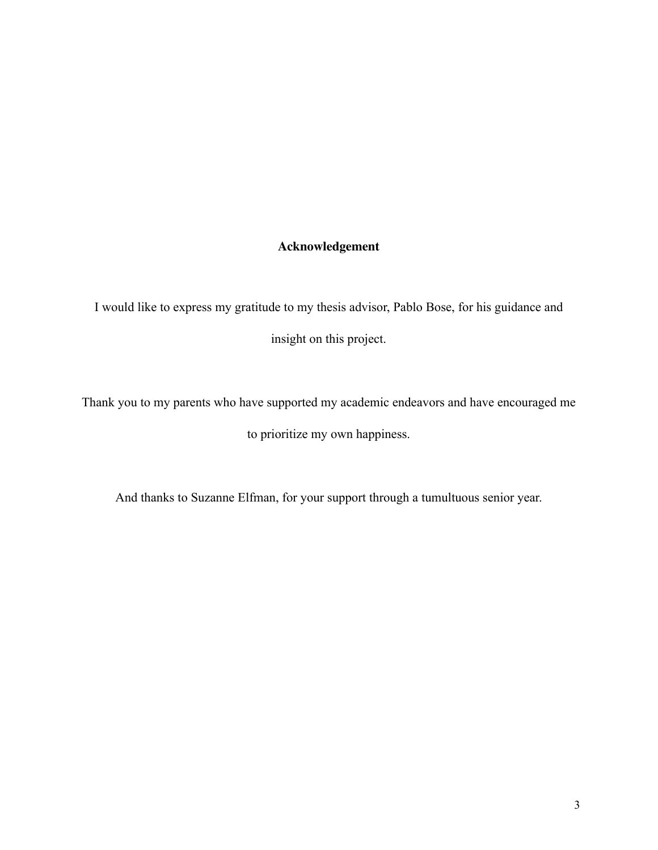# **Acknowledgement**

I would like to express my gratitude to my thesis advisor, Pablo Bose, for his guidance and insight on this project.

Thank you to my parents who have supported my academic endeavors and have encouraged me to prioritize my own happiness.

And thanks to Suzanne Elfman, for your support through a tumultuous senior year.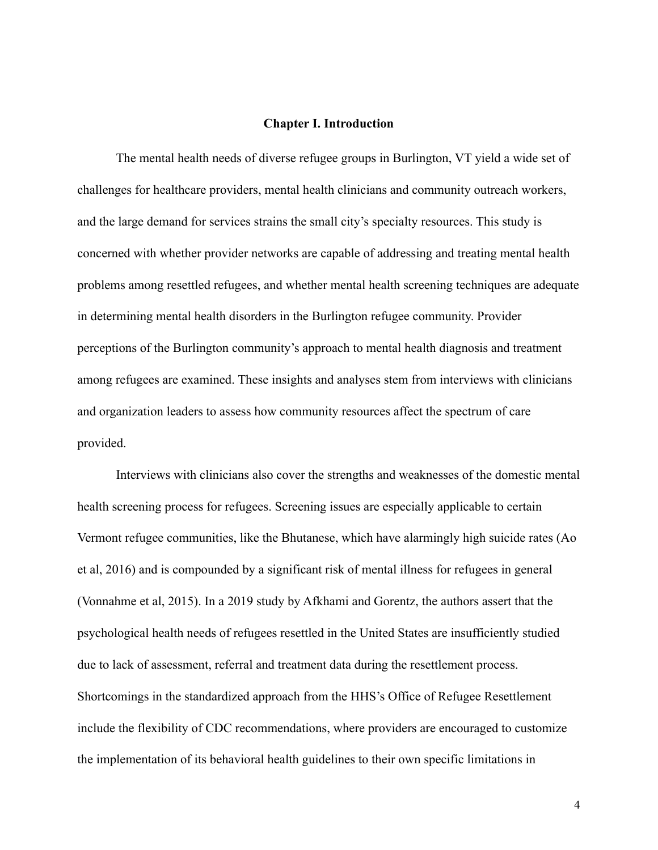# **Chapter I. Introduction**

The mental health needs of diverse refugee groups in Burlington, VT yield a wide set of challenges for healthcare providers, mental health clinicians and community outreach workers, and the large demand for services strains the small city's specialty resources. This study is concerned with whether provider networks are capable of addressing and treating mental health problems among resettled refugees, and whether mental health screening techniques are adequate in determining mental health disorders in the Burlington refugee community. Provider perceptions of the Burlington community's approach to mental health diagnosis and treatment among refugees are examined. These insights and analyses stem from interviews with clinicians and organization leaders to assess how community resources affect the spectrum of care provided.

Interviews with clinicians also cover the strengths and weaknesses of the domestic mental health screening process for refugees. Screening issues are especially applicable to certain Vermont refugee communities, like the Bhutanese, which have alarmingly high suicide rates (Ao et al, 2016) and is compounded by a significant risk of mental illness for refugees in general (Vonnahme et al, 2015). In a 2019 study by Afkhami and Gorentz, the authors assert that the psychological health needs of refugees resettled in the United States are insufficiently studied due to lack of assessment, referral and treatment data during the resettlement process. Shortcomings in the standardized approach from the HHS's Office of Refugee Resettlement include the flexibility of CDC recommendations, where providers are encouraged to customize the implementation of its behavioral health guidelines to their own specific limitations in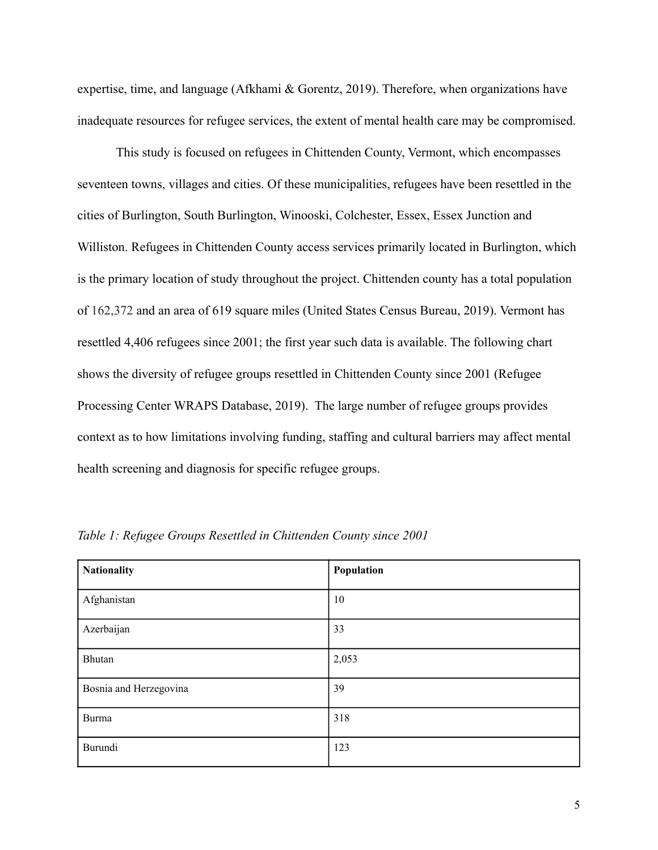expertise, time, and language (Afkhami & Gorentz, 2019). Therefore, when organizations have inadequate resources for refugee services, the extent of mental health care may be compromised.

This study is focused on refugees in Chittenden County, Vermont, which encompasses seventeen towns, villages and cities. Of these municipalities, refugees have been resettled in the cities of Burlington, South Burlington, Winooski, Colchester, Essex, Essex Junction and Williston. Refugees in Chittenden County access services primarily located in Burlington, which is the primary location of study throughout the project. Chittenden county has a total population of 162,372 and an area of 619 square miles (United States Census Bureau, 2019). Vermont has resettled 4,406 refugees since 2001; the first year such data is available. The following chart shows the diversity of refugee groups resettled in Chittenden County since 2001 (Refugee Processing Center WRAPS Database, 2019). The large number of refugee groups provides context as to how limitations involving funding, staffing and cultural barriers may affect mental health screening and diagnosis for specific refugee groups.

| <b>Nationality</b>     | Population |
|------------------------|------------|
| Afghanistan            | 10         |
| Azerbaijan             | 33         |
| Bhutan                 | 2,053      |
| Bosnia and Herzegovina | 39         |
| <b>Burma</b>           | 318        |
| Burundi                | 123        |

*Table 1: Refugee Groups Resettled in Chittenden County since 2001*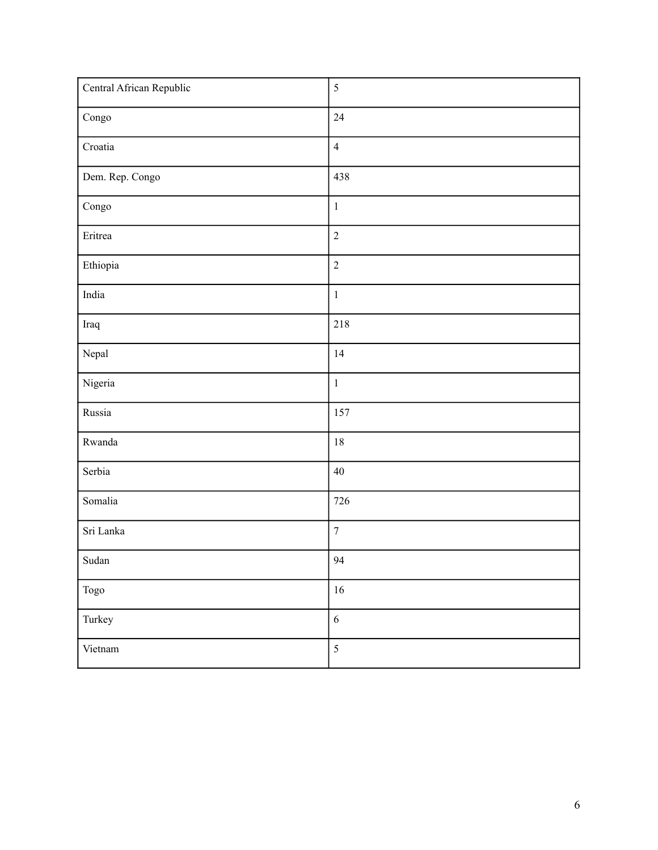| Central African Republic | $\sqrt{5}$       |
|--------------------------|------------------|
| $\operatorname{Congo}$   | 24               |
| Croatia                  | $\overline{4}$   |
| Dem. Rep. Congo          | 438              |
| $\operatorname{Congo}$   | $\,1\,$          |
| Eritrea                  | $\overline{2}$   |
| Ethiopia                 | $\sqrt{2}$       |
| India                    | $\,1\,$          |
| Iraq                     | 218              |
| Nepal                    | 14               |
| Nigeria                  | $\,1\,$          |
| Russia                   | 157              |
| Rwanda                   | 18               |
| Serbia                   | $40\,$           |
| Somalia                  | 726              |
| Sri Lanka                | $\boldsymbol{7}$ |
| $\operatorname{Sudan}$   | 94               |
| Togo                     | $16\,$           |
| Turkey                   | $\sqrt{6}$       |
| Vietnam                  | $\sqrt{5}$       |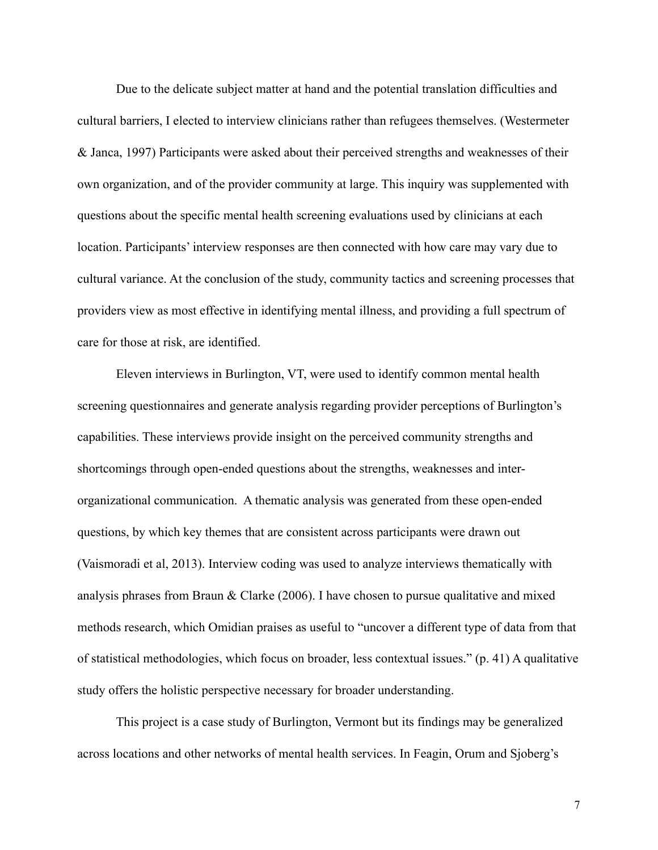Due to the delicate subject matter at hand and the potential translation difficulties and cultural barriers, I elected to interview clinicians rather than refugees themselves. (Westermeter & Janca, 1997) Participants were asked about their perceived strengths and weaknesses of their own organization, and of the provider community at large. This inquiry was supplemented with questions about the specific mental health screening evaluations used by clinicians at each location. Participants' interview responses are then connected with how care may vary due to cultural variance. At the conclusion of the study, community tactics and screening processes that providers view as most effective in identifying mental illness, and providing a full spectrum of care for those at risk, are identified.

Eleven interviews in Burlington, VT, were used to identify common mental health screening questionnaires and generate analysis regarding provider perceptions of Burlington's capabilities. These interviews provide insight on the perceived community strengths and shortcomings through open-ended questions about the strengths, weaknesses and interorganizational communication. A thematic analysis was generated from these open-ended questions, by which key themes that are consistent across participants were drawn out (Vaismoradi et al, 2013). Interview coding was used to analyze interviews thematically with analysis phrases from Braun & Clarke (2006). I have chosen to pursue qualitative and mixed methods research, which Omidian praises as useful to "uncover a different type of data from that of statistical methodologies, which focus on broader, less contextual issues." (p. 41) A qualitative study offers the holistic perspective necessary for broader understanding.

 This project is a case study of Burlington, Vermont but its findings may be generalized across locations and other networks of mental health services. In Feagin, Orum and Sjoberg's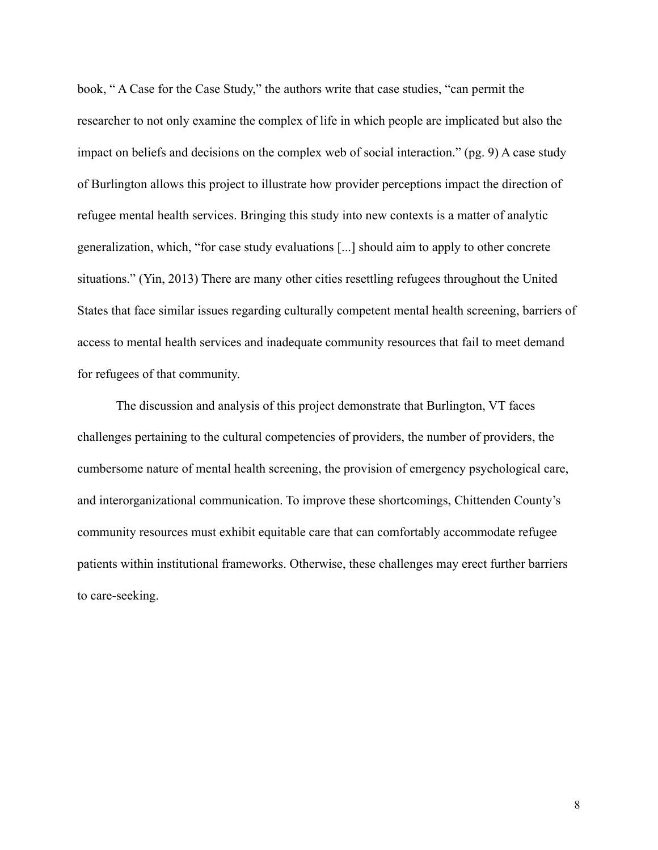book, " A Case for the Case Study," the authors write that case studies, "can permit the researcher to not only examine the complex of life in which people are implicated but also the impact on beliefs and decisions on the complex web of social interaction." (pg. 9) A case study of Burlington allows this project to illustrate how provider perceptions impact the direction of refugee mental health services. Bringing this study into new contexts is a matter of analytic generalization, which, "for case study evaluations [...] should aim to apply to other concrete situations." (Yin, 2013) There are many other cities resettling refugees throughout the United States that face similar issues regarding culturally competent mental health screening, barriers of access to mental health services and inadequate community resources that fail to meet demand for refugees of that community.

 The discussion and analysis of this project demonstrate that Burlington, VT faces challenges pertaining to the cultural competencies of providers, the number of providers, the cumbersome nature of mental health screening, the provision of emergency psychological care, and interorganizational communication. To improve these shortcomings, Chittenden County's community resources must exhibit equitable care that can comfortably accommodate refugee patients within institutional frameworks. Otherwise, these challenges may erect further barriers to care-seeking.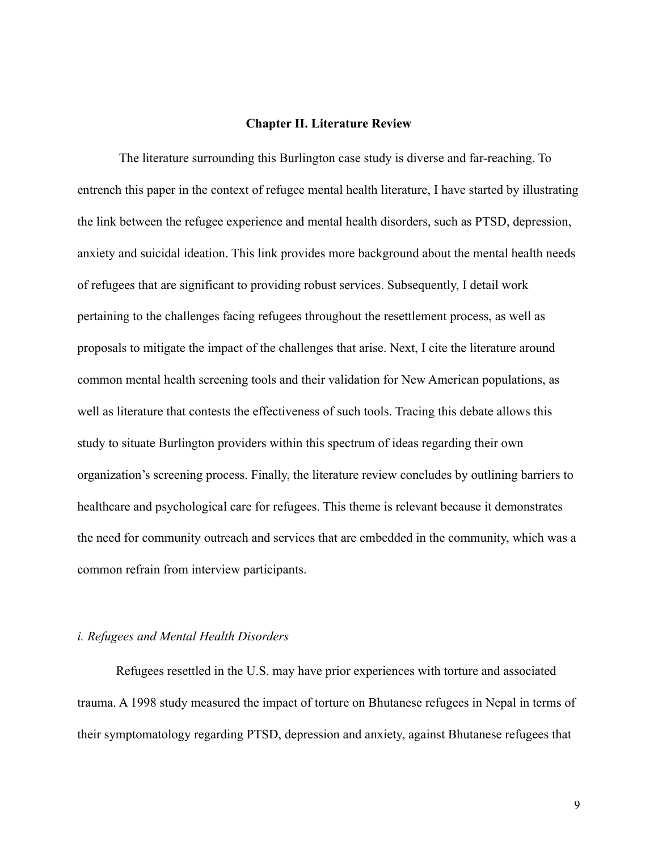## **Chapter II. Literature Review**

 The literature surrounding this Burlington case study is diverse and far-reaching. To entrench this paper in the context of refugee mental health literature, I have started by illustrating the link between the refugee experience and mental health disorders, such as PTSD, depression, anxiety and suicidal ideation. This link provides more background about the mental health needs of refugees that are significant to providing robust services. Subsequently, I detail work pertaining to the challenges facing refugees throughout the resettlement process, as well as proposals to mitigate the impact of the challenges that arise. Next, I cite the literature around common mental health screening tools and their validation for New American populations, as well as literature that contests the effectiveness of such tools. Tracing this debate allows this study to situate Burlington providers within this spectrum of ideas regarding their own organization's screening process. Finally, the literature review concludes by outlining barriers to healthcare and psychological care for refugees. This theme is relevant because it demonstrates the need for community outreach and services that are embedded in the community, which was a common refrain from interview participants.

# *i. Refugees and Mental Health Disorders*

Refugees resettled in the U.S. may have prior experiences with torture and associated trauma. A 1998 study measured the impact of torture on Bhutanese refugees in Nepal in terms of their symptomatology regarding PTSD, depression and anxiety, against Bhutanese refugees that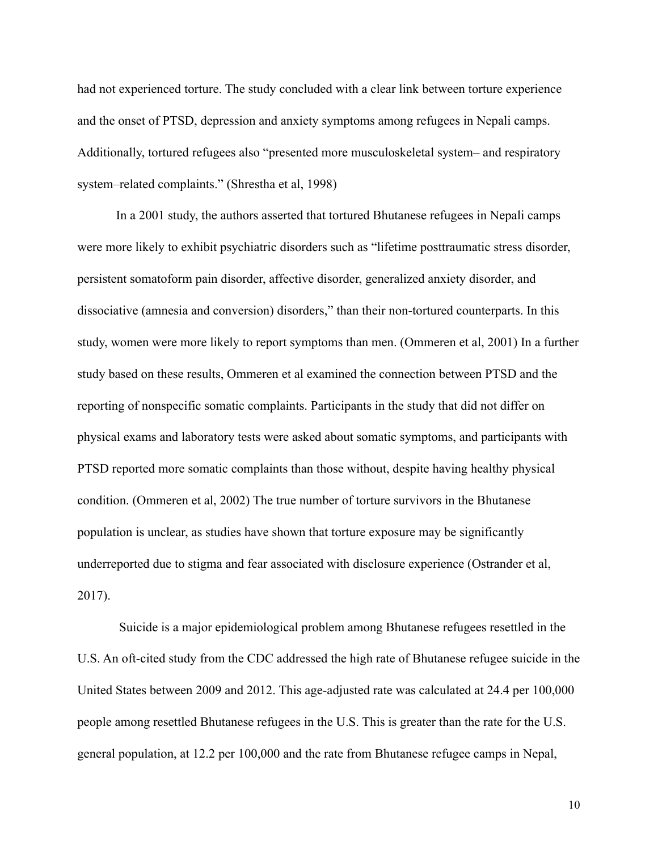had not experienced torture. The study concluded with a clear link between torture experience and the onset of PTSD, depression and anxiety symptoms among refugees in Nepali camps. Additionally, tortured refugees also "presented more musculoskeletal system– and respiratory system–related complaints." (Shrestha et al, 1998)

In a 2001 study, the authors asserted that tortured Bhutanese refugees in Nepali camps were more likely to exhibit psychiatric disorders such as "lifetime posttraumatic stress disorder, persistent somatoform pain disorder, affective disorder, generalized anxiety disorder, and dissociative (amnesia and conversion) disorders," than their non-tortured counterparts. In this study, women were more likely to report symptoms than men. (Ommeren et al, 2001) In a further study based on these results, Ommeren et al examined the connection between PTSD and the reporting of nonspecific somatic complaints. Participants in the study that did not differ on physical exams and laboratory tests were asked about somatic symptoms, and participants with PTSD reported more somatic complaints than those without, despite having healthy physical condition. (Ommeren et al, 2002) The true number of torture survivors in the Bhutanese population is unclear, as studies have shown that torture exposure may be significantly underreported due to stigma and fear associated with disclosure experience (Ostrander et al, 2017).

 Suicide is a major epidemiological problem among Bhutanese refugees resettled in the U.S. An oft-cited study from the CDC addressed the high rate of Bhutanese refugee suicide in the United States between 2009 and 2012. This age-adjusted rate was calculated at 24.4 per 100,000 people among resettled Bhutanese refugees in the U.S. This is greater than the rate for the U.S. general population, at 12.2 per 100,000 and the rate from Bhutanese refugee camps in Nepal,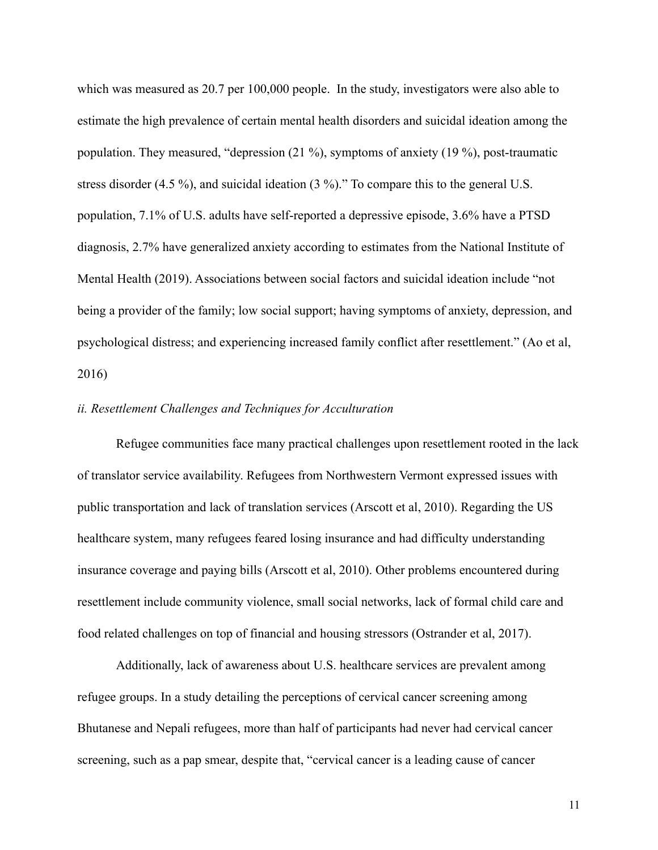which was measured as 20.7 per 100,000 people. In the study, investigators were also able to estimate the high prevalence of certain mental health disorders and suicidal ideation among the population. They measured, "depression (21 %), symptoms of anxiety (19 %), post-traumatic stress disorder (4.5 %), and suicidal ideation (3 %)." To compare this to the general U.S. population, 7.1% of U.S. adults have self-reported a depressive episode, 3.6% have a PTSD diagnosis, 2.7% have generalized anxiety according to estimates from the National Institute of Mental Health (2019). Associations between social factors and suicidal ideation include "not being a provider of the family; low social support; having symptoms of anxiety, depression, and psychological distress; and experiencing increased family conflict after resettlement." (Ao et al, 2016)

#### *ii. Resettlement Challenges and Techniques for Acculturation*

 Refugee communities face many practical challenges upon resettlement rooted in the lack of translator service availability. Refugees from Northwestern Vermont expressed issues with public transportation and lack of translation services (Arscott et al, 2010). Regarding the US healthcare system, many refugees feared losing insurance and had difficulty understanding insurance coverage and paying bills (Arscott et al, 2010). Other problems encountered during resettlement include community violence, small social networks, lack of formal child care and food related challenges on top of financial and housing stressors (Ostrander et al, 2017).

Additionally, lack of awareness about U.S. healthcare services are prevalent among refugee groups. In a study detailing the perceptions of cervical cancer screening among Bhutanese and Nepali refugees, more than half of participants had never had cervical cancer screening, such as a pap smear, despite that, "cervical cancer is a leading cause of cancer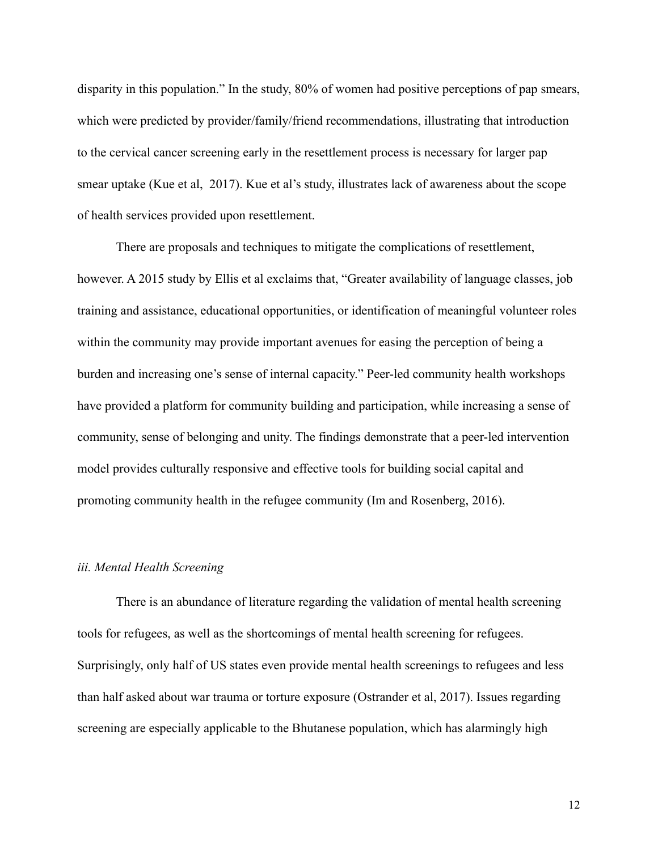disparity in this population." In the study, 80% of women had positive perceptions of pap smears, which were predicted by provider/family/friend recommendations, illustrating that introduction to the cervical cancer screening early in the resettlement process is necessary for larger pap smear uptake (Kue et al, 2017). Kue et al's study, illustrates lack of awareness about the scope of health services provided upon resettlement.

There are proposals and techniques to mitigate the complications of resettlement, however. A 2015 study by Ellis et al exclaims that, "Greater availability of language classes, job training and assistance, educational opportunities, or identification of meaningful volunteer roles within the community may provide important avenues for easing the perception of being a burden and increasing one's sense of internal capacity." Peer-led community health workshops have provided a platform for community building and participation, while increasing a sense of community, sense of belonging and unity. The findings demonstrate that a peer-led intervention model provides culturally responsive and effective tools for building social capital and promoting community health in the refugee community (Im and Rosenberg, 2016).

#### *iii. Mental Health Screening*

There is an abundance of literature regarding the validation of mental health screening tools for refugees, as well as the shortcomings of mental health screening for refugees. Surprisingly, only half of US states even provide mental health screenings to refugees and less than half asked about war trauma or torture exposure (Ostrander et al, 2017). Issues regarding screening are especially applicable to the Bhutanese population, which has alarmingly high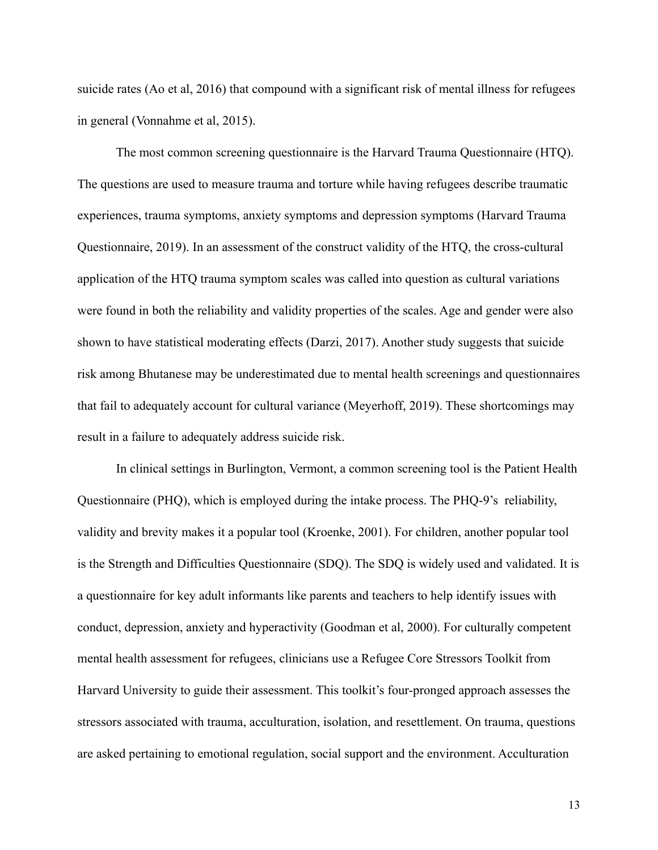suicide rates (Ao et al, 2016) that compound with a significant risk of mental illness for refugees in general (Vonnahme et al, 2015).

 The most common screening questionnaire is the Harvard Trauma Questionnaire (HTQ). The questions are used to measure trauma and torture while having refugees describe traumatic experiences, trauma symptoms, anxiety symptoms and depression symptoms (Harvard Trauma Questionnaire, 2019). In an assessment of the construct validity of the HTQ, the cross-cultural application of the HTQ trauma symptom scales was called into question as cultural variations were found in both the reliability and validity properties of the scales. Age and gender were also shown to have statistical moderating effects (Darzi, 2017). Another study suggests that suicide risk among Bhutanese may be underestimated due to mental health screenings and questionnaires that fail to adequately account for cultural variance (Meyerhoff, 2019). These shortcomings may result in a failure to adequately address suicide risk.

 In clinical settings in Burlington, Vermont, a common screening tool is the Patient Health Questionnaire (PHQ), which is employed during the intake process. The PHQ-9's reliability, validity and brevity makes it a popular tool (Kroenke, 2001). For children, another popular tool is the Strength and Difficulties Questionnaire (SDQ). The SDQ is widely used and validated. It is a questionnaire for key adult informants like parents and teachers to help identify issues with conduct, depression, anxiety and hyperactivity (Goodman et al, 2000). For culturally competent mental health assessment for refugees, clinicians use a Refugee Core Stressors Toolkit from Harvard University to guide their assessment. This toolkit's four-pronged approach assesses the stressors associated with trauma, acculturation, isolation, and resettlement. On trauma, questions are asked pertaining to emotional regulation, social support and the environment. Acculturation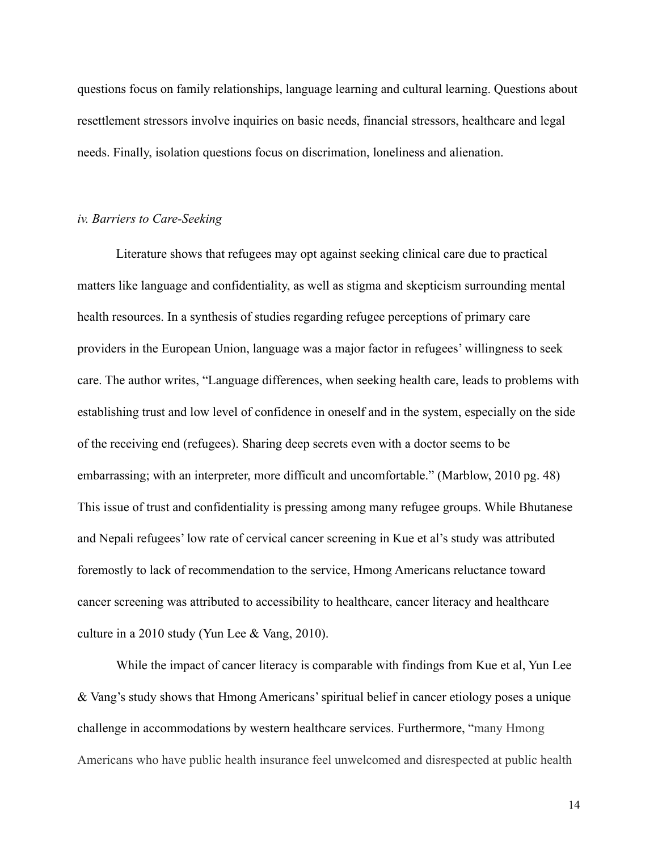questions focus on family relationships, language learning and cultural learning. Questions about resettlement stressors involve inquiries on basic needs, financial stressors, healthcare and legal needs. Finally, isolation questions focus on discrimation, loneliness and alienation.

#### *iv. Barriers to Care-Seeking*

 Literature shows that refugees may opt against seeking clinical care due to practical matters like language and confidentiality, as well as stigma and skepticism surrounding mental health resources. In a synthesis of studies regarding refugee perceptions of primary care providers in the European Union, language was a major factor in refugees' willingness to seek care. The author writes, "Language differences, when seeking health care, leads to problems with establishing trust and low level of confidence in oneself and in the system, especially on the side of the receiving end (refugees). Sharing deep secrets even with a doctor seems to be embarrassing; with an interpreter, more difficult and uncomfortable." (Marblow, 2010 pg. 48) This issue of trust and confidentiality is pressing among many refugee groups. While Bhutanese and Nepali refugees' low rate of cervical cancer screening in Kue et al's study was attributed foremostly to lack of recommendation to the service, Hmong Americans reluctance toward cancer screening was attributed to accessibility to healthcare, cancer literacy and healthcare culture in a 2010 study (Yun Lee & Vang, 2010).

While the impact of cancer literacy is comparable with findings from Kue et al, Yun Lee & Vang's study shows that Hmong Americans' spiritual belief in cancer etiology poses a unique challenge in accommodations by western healthcare services. Furthermore, "many Hmong Americans who have public health insurance feel unwelcomed and disrespected at public health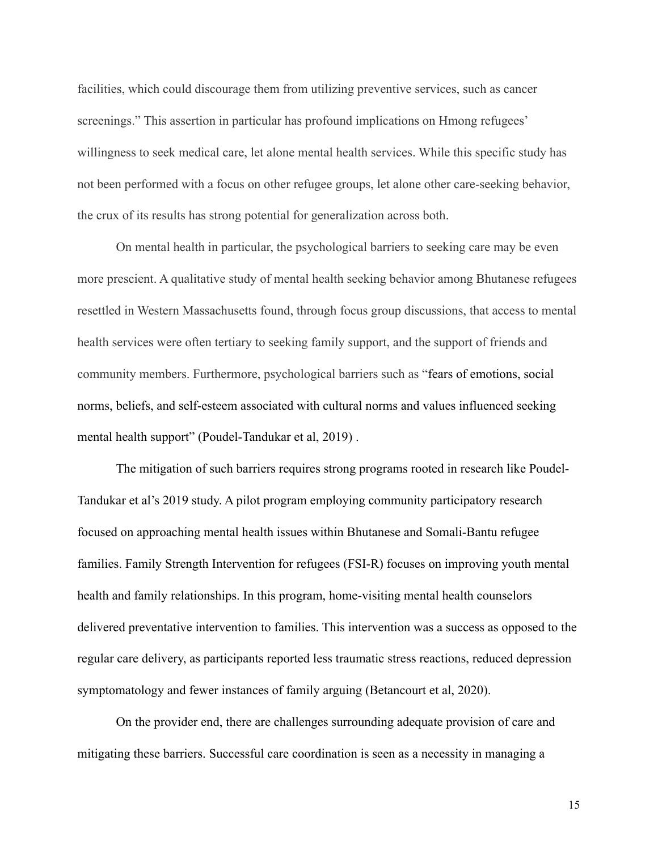facilities, which could discourage them from utilizing preventive services, such as cancer screenings." This assertion in particular has profound implications on Hmong refugees' willingness to seek medical care, let alone mental health services. While this specific study has not been performed with a focus on other refugee groups, let alone other care-seeking behavior, the crux of its results has strong potential for generalization across both.

 On mental health in particular, the psychological barriers to seeking care may be even more prescient. A qualitative study of mental health seeking behavior among Bhutanese refugees resettled in Western Massachusetts found, through focus group discussions, that access to mental health services were often tertiary to seeking family support, and the support of friends and community members. Furthermore, psychological barriers such as "fears of emotions, social norms, beliefs, and self-esteem associated with cultural norms and values influenced seeking mental health support" (Poudel-Tandukar et al, 2019) .

The mitigation of such barriers requires strong programs rooted in research like Poudel-Tandukar et al's 2019 study. A pilot program employing community participatory research focused on approaching mental health issues within Bhutanese and Somali-Bantu refugee families. Family Strength Intervention for refugees (FSI-R) focuses on improving youth mental health and family relationships. In this program, home-visiting mental health counselors delivered preventative intervention to families. This intervention was a success as opposed to the regular care delivery, as participants reported less traumatic stress reactions, reduced depression symptomatology and fewer instances of family arguing (Betancourt et al, 2020).

On the provider end, there are challenges surrounding adequate provision of care and mitigating these barriers. Successful care coordination is seen as a necessity in managing a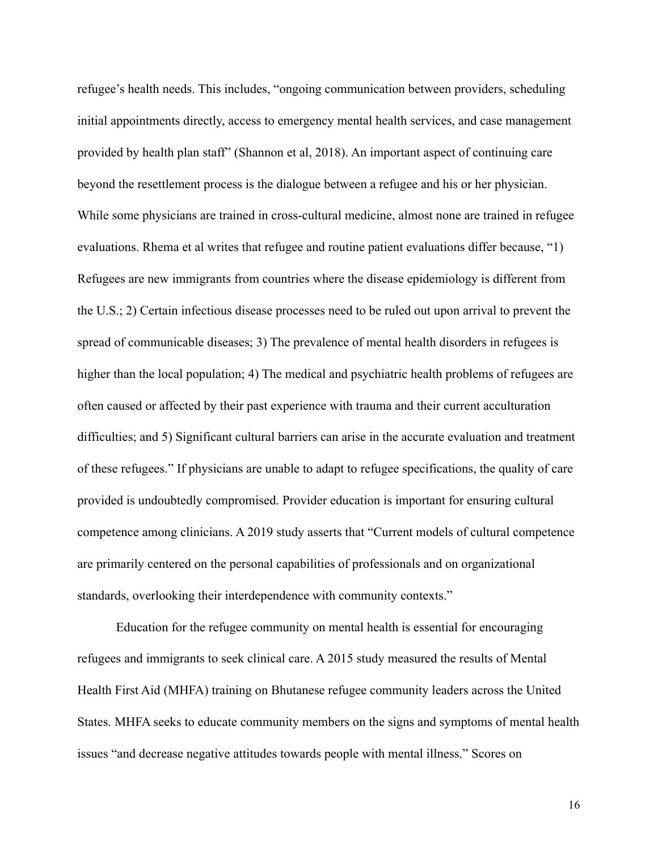refugee's health needs. This includes, "ongoing communication between providers, scheduling initial appointments directly, access to emergency mental health services, and case management provided by health plan staff" (Shannon et al, 2018). An important aspect of continuing care beyond the resettlement process is the dialogue between a refugee and his or her physician. While some physicians are trained in cross-cultural medicine, almost none are trained in refugee evaluations. Rhema et al writes that refugee and routine patient evaluations differ because, "1) Refugees are new immigrants from countries where the disease epidemiology is different from the U.S.; 2) Certain infectious disease processes need to be ruled out upon arrival to prevent the spread of communicable diseases; 3) The prevalence of mental health disorders in refugees is higher than the local population; 4) The medical and psychiatric health problems of refugees are often caused or affected by their past experience with trauma and their current acculturation difficulties; and 5) Significant cultural barriers can arise in the accurate evaluation and treatment of these refugees." If physicians are unable to adapt to refugee specifications, the quality of care provided is undoubtedly compromised. Provider education is important for ensuring cultural competence among clinicians. A 2019 study asserts that "Current models of cultural competence are primarily centered on the personal capabilities of professionals and on organizational standards, overlooking their interdependence with community contexts."

Education for the refugee community on mental health is essential for encouraging refugees and immigrants to seek clinical care. A 2015 study measured the results of Mental Health First Aid (MHFA) training on Bhutanese refugee community leaders across the United States. MHFA seeks to educate community members on the signs and symptoms of mental health issues "and decrease negative attitudes towards people with mental illness." Scores on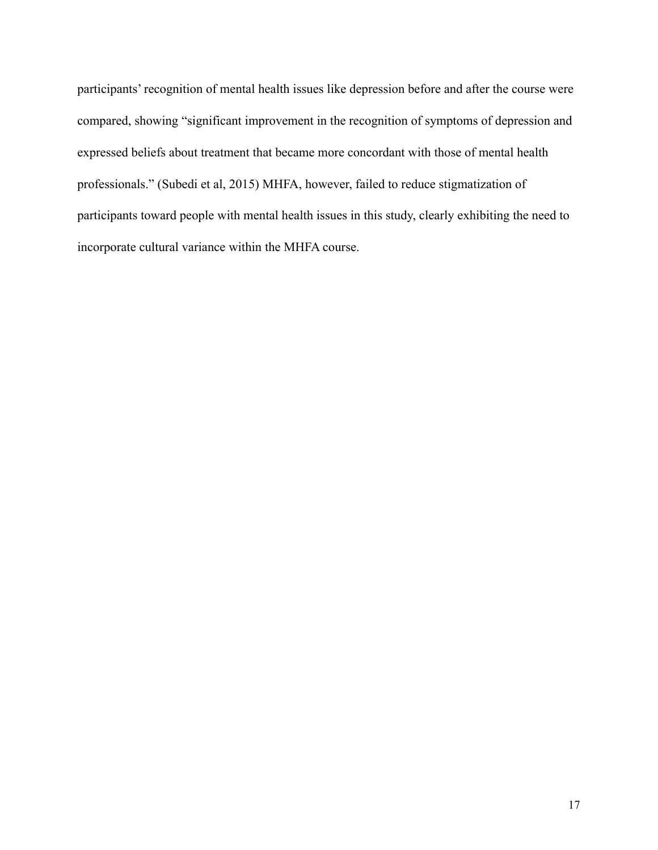participants' recognition of mental health issues like depression before and after the course were compared, showing "significant improvement in the recognition of symptoms of depression and expressed beliefs about treatment that became more concordant with those of mental health professionals." (Subedi et al, 2015) MHFA, however, failed to reduce stigmatization of participants toward people with mental health issues in this study, clearly exhibiting the need to incorporate cultural variance within the MHFA course.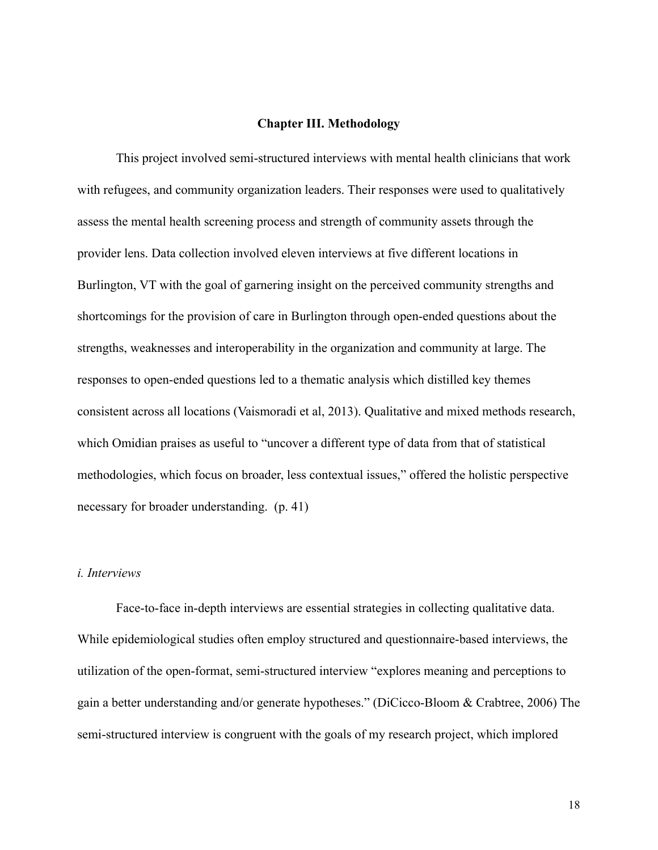#### **Chapter III. Methodology**

 This project involved semi-structured interviews with mental health clinicians that work with refugees, and community organization leaders. Their responses were used to qualitatively assess the mental health screening process and strength of community assets through the provider lens. Data collection involved eleven interviews at five different locations in Burlington, VT with the goal of garnering insight on the perceived community strengths and shortcomings for the provision of care in Burlington through open-ended questions about the strengths, weaknesses and interoperability in the organization and community at large. The responses to open-ended questions led to a thematic analysis which distilled key themes consistent across all locations (Vaismoradi et al, 2013). Qualitative and mixed methods research, which Omidian praises as useful to "uncover a different type of data from that of statistical methodologies, which focus on broader, less contextual issues," offered the holistic perspective necessary for broader understanding. (p. 41)

# *i. Interviews*

 Face-to-face in-depth interviews are essential strategies in collecting qualitative data. While epidemiological studies often employ structured and questionnaire-based interviews, the utilization of the open-format, semi-structured interview "explores meaning and perceptions to gain a better understanding and/or generate hypotheses." (DiCicco-Bloom & Crabtree, 2006) The semi-structured interview is congruent with the goals of my research project, which implored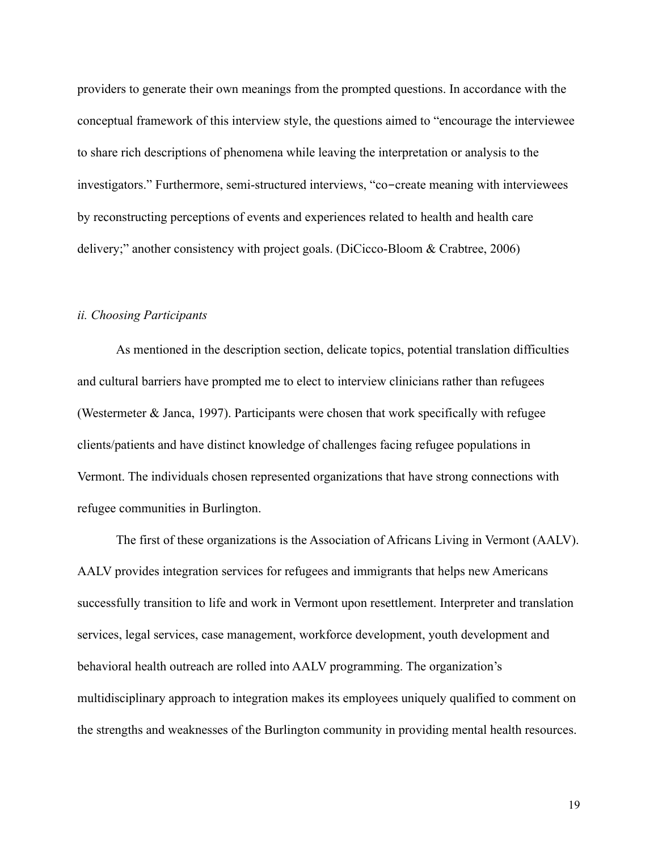providers to generate their own meanings from the prompted questions. In accordance with the conceptual framework of this interview style, the questions aimed to "encourage the interviewee to share rich descriptions of phenomena while leaving the interpretation or analysis to the investigators." Furthermore, semi-structured interviews, "co-create meaning with interviewees by reconstructing perceptions of events and experiences related to health and health care delivery;" another consistency with project goals. (DiCicco-Bloom & Crabtree, 2006)

# *ii. Choosing Participants*

As mentioned in the description section, delicate topics, potential translation difficulties and cultural barriers have prompted me to elect to interview clinicians rather than refugees (Westermeter & Janca, 1997). Participants were chosen that work specifically with refugee clients/patients and have distinct knowledge of challenges facing refugee populations in Vermont. The individuals chosen represented organizations that have strong connections with refugee communities in Burlington.

 The first of these organizations is the Association of Africans Living in Vermont (AALV). AALV provides integration services for refugees and immigrants that helps new Americans successfully transition to life and work in Vermont upon resettlement. Interpreter and translation services, legal services, case management, workforce development, youth development and behavioral health outreach are rolled into AALV programming. The organization's multidisciplinary approach to integration makes its employees uniquely qualified to comment on the strengths and weaknesses of the Burlington community in providing mental health resources.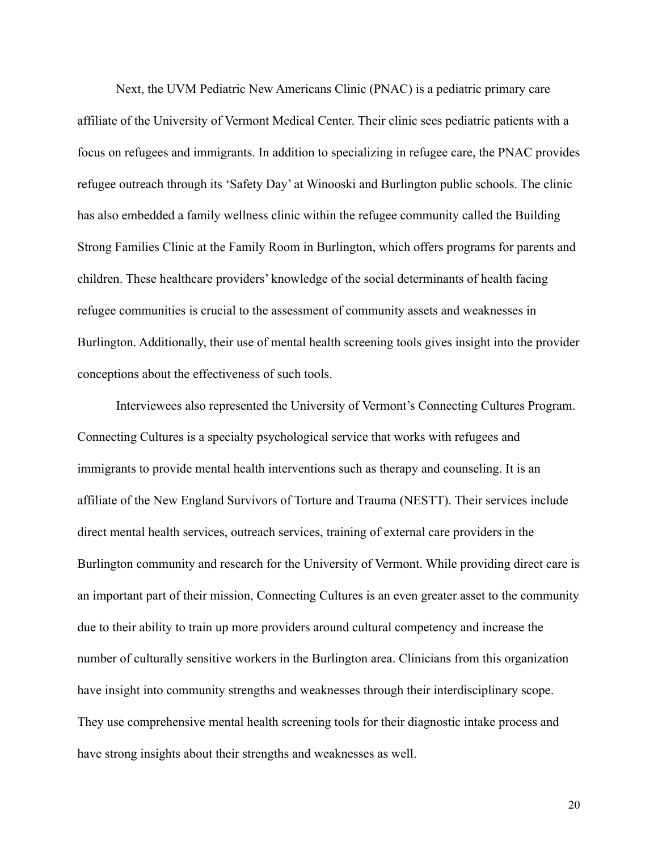Next, the UVM Pediatric New Americans Clinic (PNAC) is a pediatric primary care affiliate of the University of Vermont Medical Center. Their clinic sees pediatric patients with a focus on refugees and immigrants. In addition to specializing in refugee care, the PNAC provides refugee outreach through its 'Safety Day' at Winooski and Burlington public schools. The clinic has also embedded a family wellness clinic within the refugee community called the Building Strong Families Clinic at the Family Room in Burlington, which offers programs for parents and children. These healthcare providers' knowledge of the social determinants of health facing refugee communities is crucial to the assessment of community assets and weaknesses in Burlington. Additionally, their use of mental health screening tools gives insight into the provider conceptions about the effectiveness of such tools.

 Interviewees also represented the University of Vermont's Connecting Cultures Program. Connecting Cultures is a specialty psychological service that works with refugees and immigrants to provide mental health interventions such as therapy and counseling. It is an affiliate of the New England Survivors of Torture and Trauma (NESTT). Their services include direct mental health services, outreach services, training of external care providers in the Burlington community and research for the University of Vermont. While providing direct care is an important part of their mission, Connecting Cultures is an even greater asset to the community due to their ability to train up more providers around cultural competency and increase the number of culturally sensitive workers in the Burlington area. Clinicians from this organization have insight into community strengths and weaknesses through their interdisciplinary scope. They use comprehensive mental health screening tools for their diagnostic intake process and have strong insights about their strengths and weaknesses as well.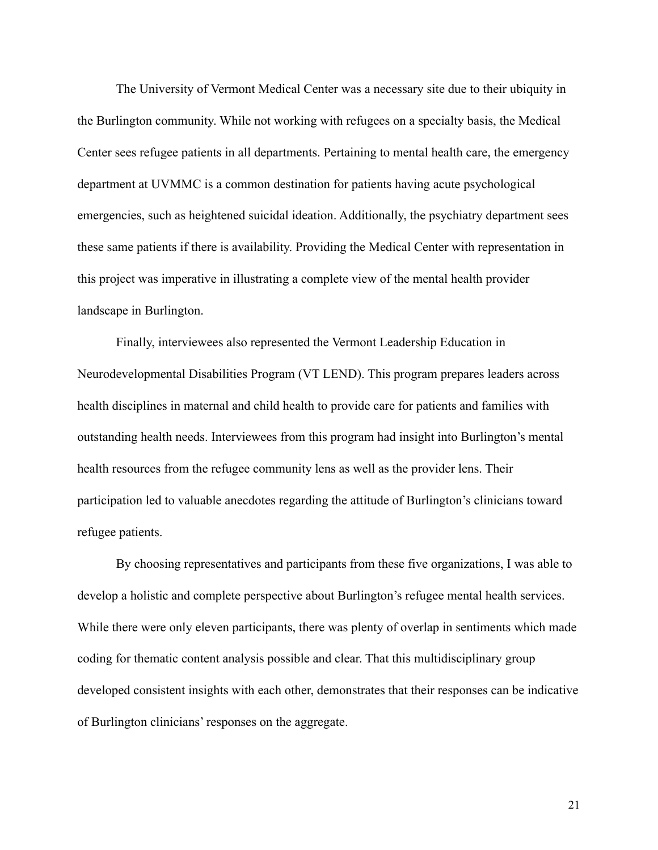The University of Vermont Medical Center was a necessary site due to their ubiquity in the Burlington community. While not working with refugees on a specialty basis, the Medical Center sees refugee patients in all departments. Pertaining to mental health care, the emergency department at UVMMC is a common destination for patients having acute psychological emergencies, such as heightened suicidal ideation. Additionally, the psychiatry department sees these same patients if there is availability. Providing the Medical Center with representation in this project was imperative in illustrating a complete view of the mental health provider landscape in Burlington.

 Finally, interviewees also represented the Vermont Leadership Education in Neurodevelopmental Disabilities Program (VT LEND). This program prepares leaders across health disciplines in maternal and child health to provide care for patients and families with outstanding health needs. Interviewees from this program had insight into Burlington's mental health resources from the refugee community lens as well as the provider lens. Their participation led to valuable anecdotes regarding the attitude of Burlington's clinicians toward refugee patients.

 By choosing representatives and participants from these five organizations, I was able to develop a holistic and complete perspective about Burlington's refugee mental health services. While there were only eleven participants, there was plenty of overlap in sentiments which made coding for thematic content analysis possible and clear. That this multidisciplinary group developed consistent insights with each other, demonstrates that their responses can be indicative of Burlington clinicians' responses on the aggregate.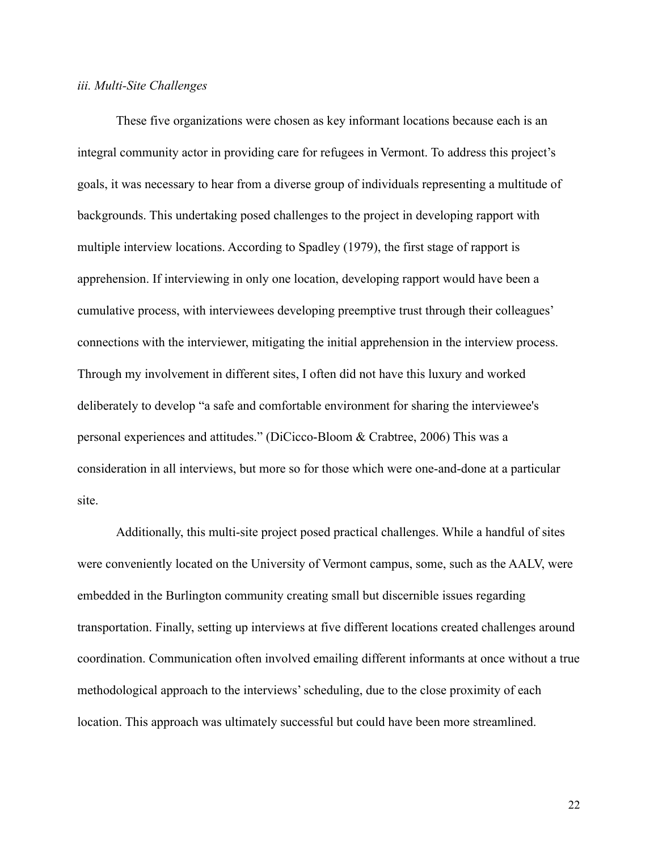#### *iii. Multi-Site Challenges*

 These five organizations were chosen as key informant locations because each is an integral community actor in providing care for refugees in Vermont. To address this project's goals, it was necessary to hear from a diverse group of individuals representing a multitude of backgrounds. This undertaking posed challenges to the project in developing rapport with multiple interview locations. According to Spadley (1979), the first stage of rapport is apprehension. If interviewing in only one location, developing rapport would have been a cumulative process, with interviewees developing preemptive trust through their colleagues' connections with the interviewer, mitigating the initial apprehension in the interview process. Through my involvement in different sites, I often did not have this luxury and worked deliberately to develop "a safe and comfortable environment for sharing the interviewee's personal experiences and attitudes." (DiCicco-Bloom & Crabtree, 2006) This was a consideration in all interviews, but more so for those which were one-and-done at a particular site.

 Additionally, this multi-site project posed practical challenges. While a handful of sites were conveniently located on the University of Vermont campus, some, such as the AALV, were embedded in the Burlington community creating small but discernible issues regarding transportation. Finally, setting up interviews at five different locations created challenges around coordination. Communication often involved emailing different informants at once without a true methodological approach to the interviews' scheduling, due to the close proximity of each location. This approach was ultimately successful but could have been more streamlined.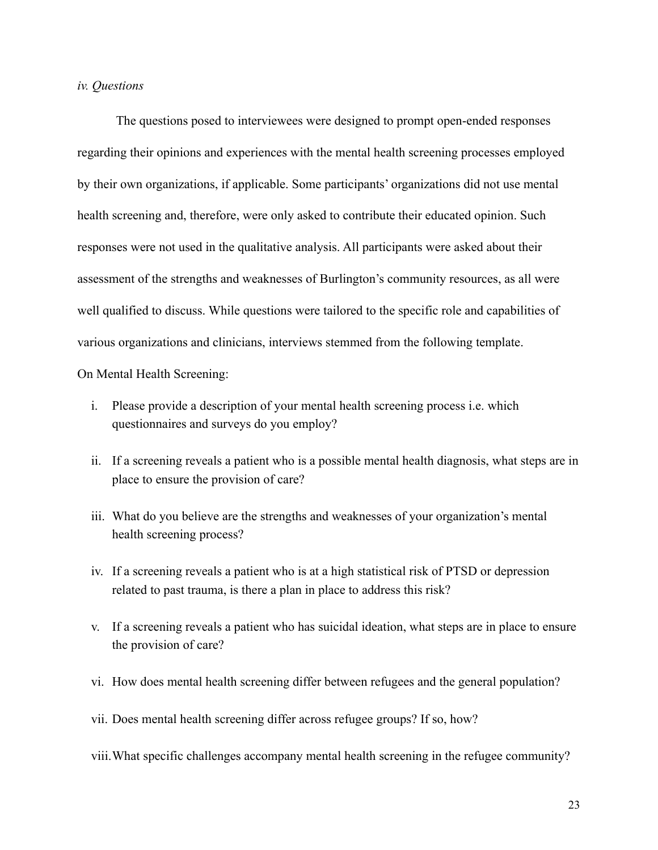#### *iv. Questions*

The questions posed to interviewees were designed to prompt open-ended responses regarding their opinions and experiences with the mental health screening processes employed by their own organizations, if applicable. Some participants' organizations did not use mental health screening and, therefore, were only asked to contribute their educated opinion. Such responses were not used in the qualitative analysis. All participants were asked about their assessment of the strengths and weaknesses of Burlington's community resources, as all were well qualified to discuss. While questions were tailored to the specific role and capabilities of various organizations and clinicians, interviews stemmed from the following template.

On Mental Health Screening:

- i. Please provide a description of your mental health screening process i.e. which questionnaires and surveys do you employ?
- ii. If a screening reveals a patient who is a possible mental health diagnosis, what steps are in place to ensure the provision of care?
- iii. What do you believe are the strengths and weaknesses of your organization's mental health screening process?
- iv. If a screening reveals a patient who is at a high statistical risk of PTSD or depression related to past trauma, is there a plan in place to address this risk?
- v. If a screening reveals a patient who has suicidal ideation, what steps are in place to ensure the provision of care?
- vi. How does mental health screening differ between refugees and the general population?
- vii. Does mental health screening differ across refugee groups? If so, how?

viii.What specific challenges accompany mental health screening in the refugee community?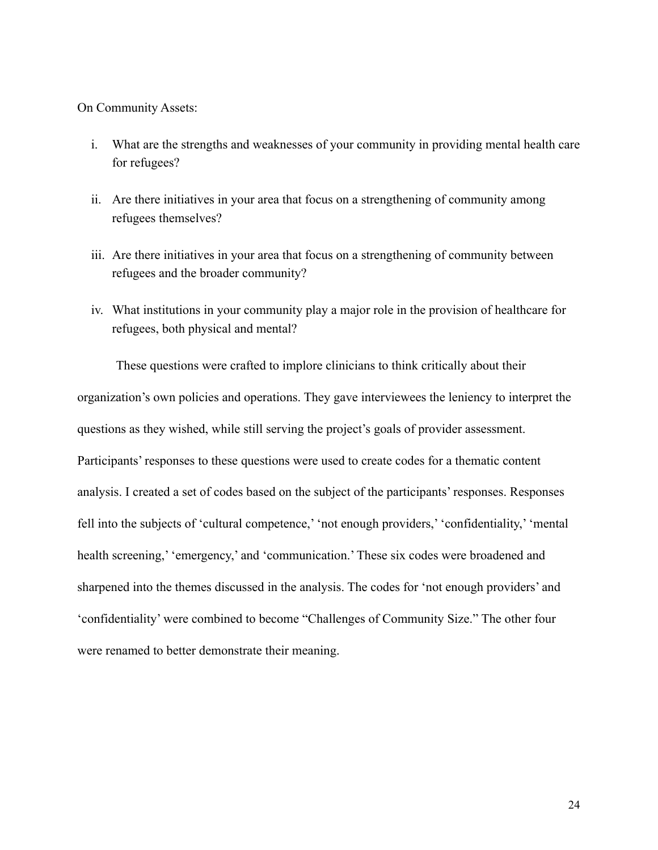On Community Assets:

- i. What are the strengths and weaknesses of your community in providing mental health care for refugees?
- ii. Are there initiatives in your area that focus on a strengthening of community among refugees themselves?
- iii. Are there initiatives in your area that focus on a strengthening of community between refugees and the broader community?
- iv. What institutions in your community play a major role in the provision of healthcare for refugees, both physical and mental?

 These questions were crafted to implore clinicians to think critically about their organization's own policies and operations. They gave interviewees the leniency to interpret the questions as they wished, while still serving the project's goals of provider assessment. Participants' responses to these questions were used to create codes for a thematic content analysis. I created a set of codes based on the subject of the participants' responses. Responses fell into the subjects of 'cultural competence,' 'not enough providers,' 'confidentiality,' 'mental health screening,' 'emergency,' and 'communication.' These six codes were broadened and sharpened into the themes discussed in the analysis. The codes for 'not enough providers' and 'confidentiality' were combined to become "Challenges of Community Size." The other four were renamed to better demonstrate their meaning.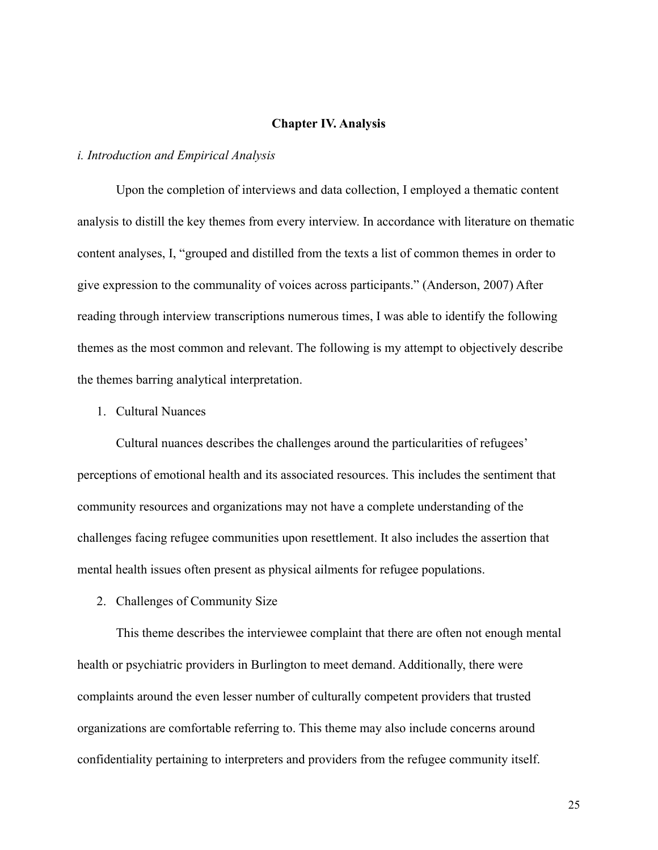#### **Chapter IV. Analysis**

#### *i. Introduction and Empirical Analysis*

Upon the completion of interviews and data collection, I employed a thematic content analysis to distill the key themes from every interview. In accordance with literature on thematic content analyses, I, "grouped and distilled from the texts a list of common themes in order to give expression to the communality of voices across participants." (Anderson, 2007) After reading through interview transcriptions numerous times, I was able to identify the following themes as the most common and relevant. The following is my attempt to objectively describe the themes barring analytical interpretation.

#### 1. Cultural Nuances

Cultural nuances describes the challenges around the particularities of refugees' perceptions of emotional health and its associated resources. This includes the sentiment that community resources and organizations may not have a complete understanding of the challenges facing refugee communities upon resettlement. It also includes the assertion that mental health issues often present as physical ailments for refugee populations.

2. Challenges of Community Size

This theme describes the interviewee complaint that there are often not enough mental health or psychiatric providers in Burlington to meet demand. Additionally, there were complaints around the even lesser number of culturally competent providers that trusted organizations are comfortable referring to. This theme may also include concerns around confidentiality pertaining to interpreters and providers from the refugee community itself.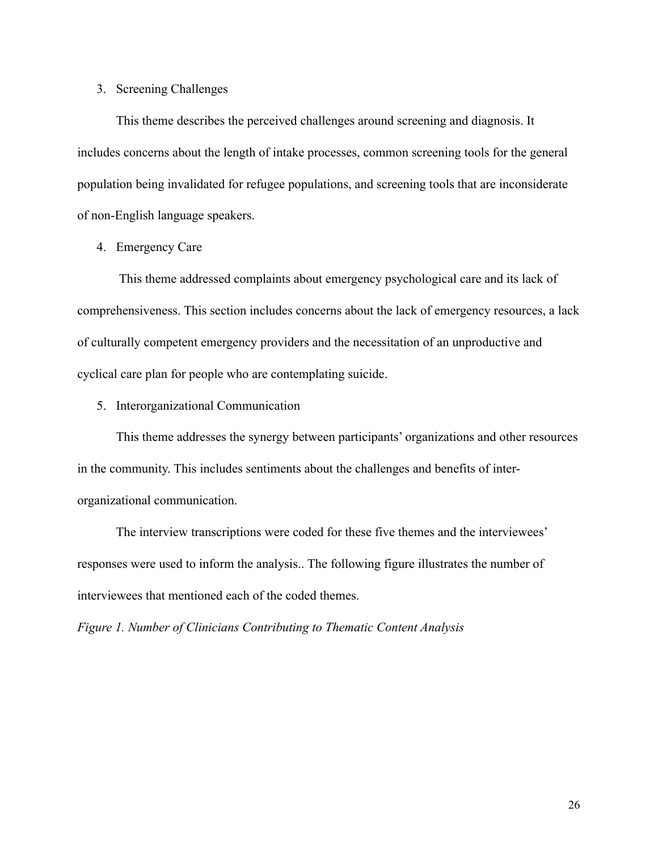# 3. Screening Challenges

This theme describes the perceived challenges around screening and diagnosis. It includes concerns about the length of intake processes, common screening tools for the general population being invalidated for refugee populations, and screening tools that are inconsiderate of non-English language speakers.

## 4. Emergency Care

 This theme addressed complaints about emergency psychological care and its lack of comprehensiveness. This section includes concerns about the lack of emergency resources, a lack of culturally competent emergency providers and the necessitation of an unproductive and cyclical care plan for people who are contemplating suicide.

5. Interorganizational Communication

This theme addresses the synergy between participants' organizations and other resources in the community. This includes sentiments about the challenges and benefits of interorganizational communication.

The interview transcriptions were coded for these five themes and the interviewees' responses were used to inform the analysis.. The following figure illustrates the number of interviewees that mentioned each of the coded themes.

*Figure 1. Number of Clinicians Contributing to Thematic Content Analysis*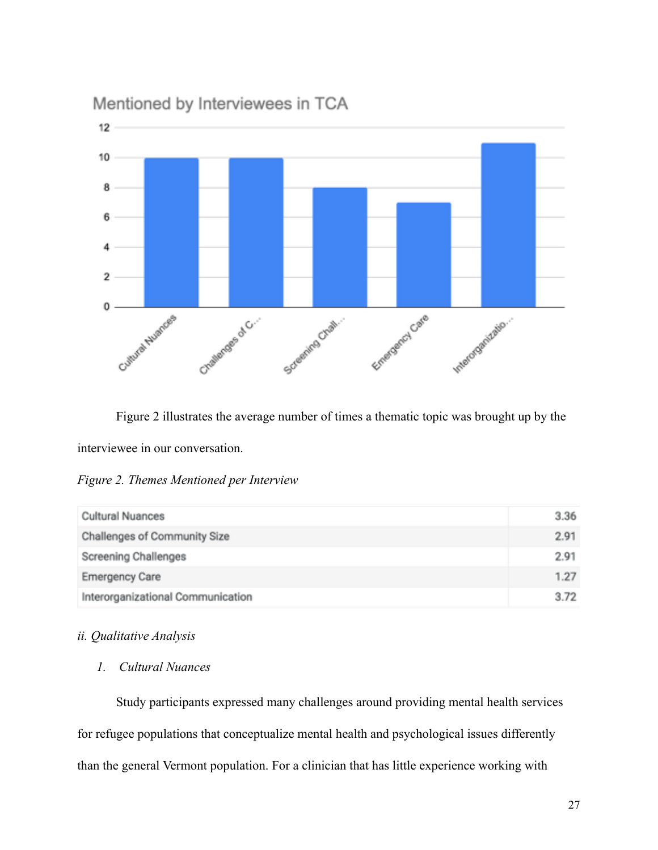

Mentioned by Interviewees in TCA

 Figure 2 illustrates the average number of times a thematic topic was brought up by the interviewee in our conversation.

*Figure 2. Themes Mentioned per Interview*

| <b>Cultural Nuances</b>           | 3.36 |
|-----------------------------------|------|
| Challenges of Community Size      | 2.91 |
| Screening Challenges              | 2.91 |
| <b>Emergency Care</b>             | 1.27 |
| Interorganizational Communication | 3.72 |

# *ii. Qualitative Analysis*

# *1. Cultural Nuances*

 Study participants expressed many challenges around providing mental health services for refugee populations that conceptualize mental health and psychological issues differently than the general Vermont population. For a clinician that has little experience working with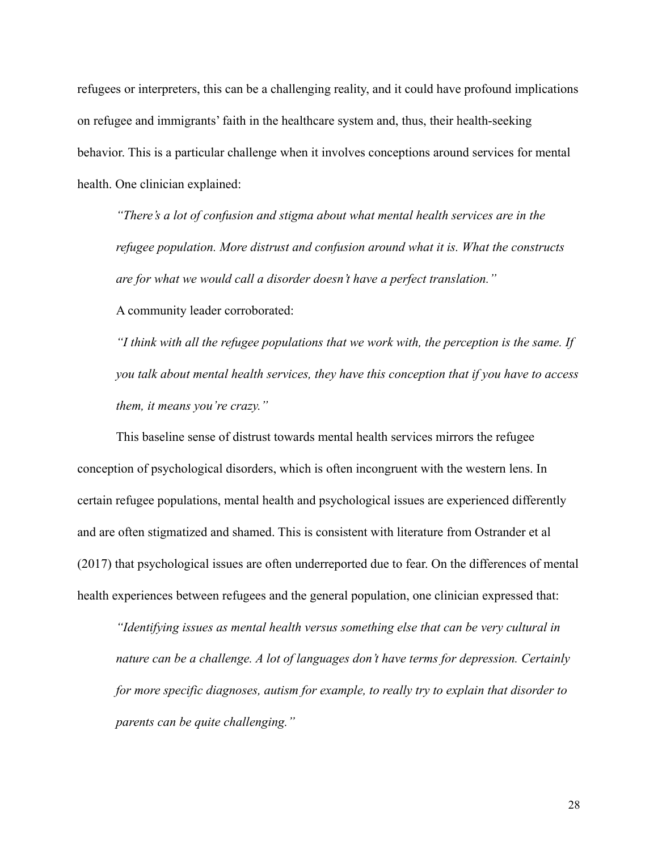refugees or interpreters, this can be a challenging reality, and it could have profound implications on refugee and immigrants' faith in the healthcare system and, thus, their health-seeking behavior. This is a particular challenge when it involves conceptions around services for mental health. One clinician explained:

*"There's a lot of confusion and stigma about what mental health services are in the refugee population. More distrust and confusion around what it is. What the constructs are for what we would call a disorder doesn't have a perfect translation."* 

A community leader corroborated:

*"I think with all the refugee populations that we work with, the perception is the same. If you talk about mental health services, they have this conception that if you have to access them, it means you're crazy."*

This baseline sense of distrust towards mental health services mirrors the refugee conception of psychological disorders, which is often incongruent with the western lens. In certain refugee populations, mental health and psychological issues are experienced differently and are often stigmatized and shamed. This is consistent with literature from Ostrander et al (2017) that psychological issues are often underreported due to fear. On the differences of mental health experiences between refugees and the general population, one clinician expressed that:

*"Identifying issues as mental health versus something else that can be very cultural in nature can be a challenge. A lot of languages don't have terms for depression. Certainly for more specific diagnoses, autism for example, to really try to explain that disorder to parents can be quite challenging."*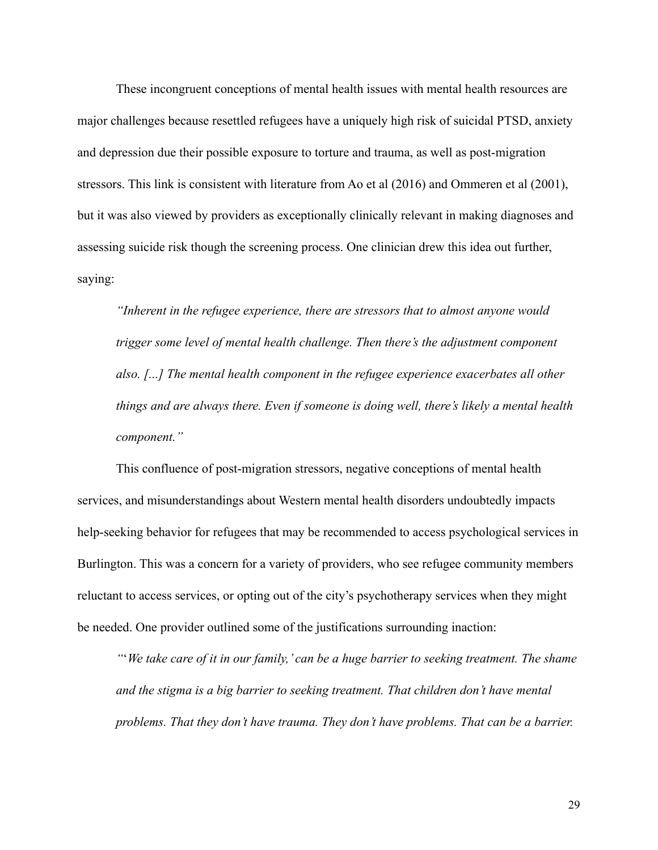These incongruent conceptions of mental health issues with mental health resources are major challenges because resettled refugees have a uniquely high risk of suicidal PTSD, anxiety and depression due their possible exposure to torture and trauma, as well as post-migration stressors. This link is consistent with literature from Ao et al (2016) and Ommeren et al (2001), but it was also viewed by providers as exceptionally clinically relevant in making diagnoses and assessing suicide risk though the screening process. One clinician drew this idea out further, saying:

*"Inherent in the refugee experience, there are stressors that to almost anyone would trigger some level of mental health challenge. Then there's the adjustment component also. [...] The mental health component in the refugee experience exacerbates all other things and are always there. Even if someone is doing well, there's likely a mental health component."*

This confluence of post-migration stressors, negative conceptions of mental health services, and misunderstandings about Western mental health disorders undoubtedly impacts help-seeking behavior for refugees that may be recommended to access psychological services in Burlington. This was a concern for a variety of providers, who see refugee community members reluctant to access services, or opting out of the city's psychotherapy services when they might be needed. One provider outlined some of the justifications surrounding inaction:

*"*'*We take care of it in our family,' can be a huge barrier to seeking treatment. The shame and the stigma is a big barrier to seeking treatment. That children don't have mental problems. That they don't have trauma. They don't have problems. That can be a barrier.*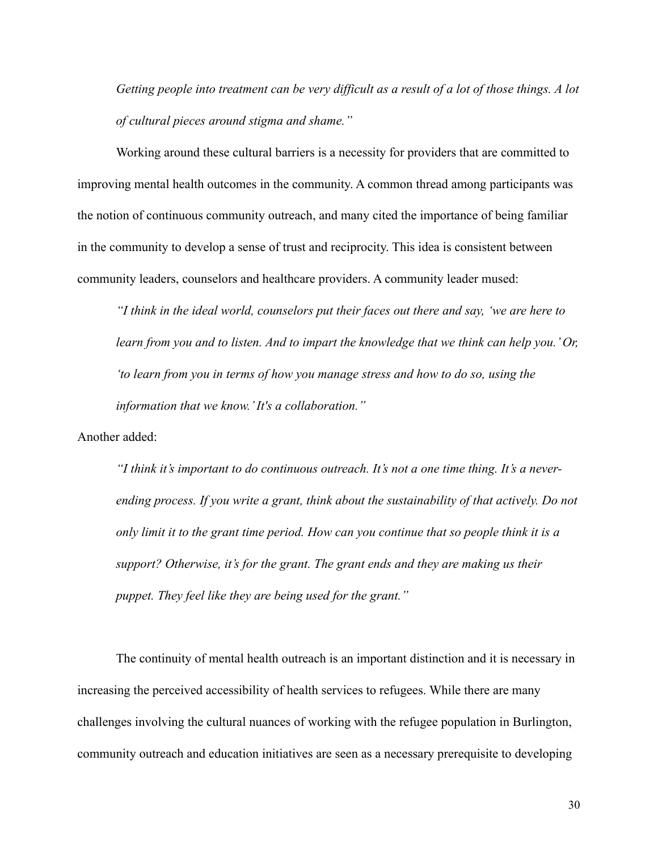*Getting people into treatment can be very difficult as a result of a lot of those things. A lot of cultural pieces around stigma and shame."* 

Working around these cultural barriers is a necessity for providers that are committed to improving mental health outcomes in the community. A common thread among participants was the notion of continuous community outreach, and many cited the importance of being familiar in the community to develop a sense of trust and reciprocity. This idea is consistent between community leaders, counselors and healthcare providers. A community leader mused:

*"I think in the ideal world, counselors put their faces out there and say, 'we are here to learn from you and to listen. And to impart the knowledge that we think can help you.' Or, 'to learn from you in terms of how you manage stress and how to do so, using the information that we know.' It's a collaboration."*

Another added:

*"I think it's important to do continuous outreach. It's not a one time thing. It's a neverending process. If you write a grant, think about the sustainability of that actively. Do not only limit it to the grant time period. How can you continue that so people think it is a support? Otherwise, it's for the grant. The grant ends and they are making us their puppet. They feel like they are being used for the grant."* 

The continuity of mental health outreach is an important distinction and it is necessary in increasing the perceived accessibility of health services to refugees. While there are many challenges involving the cultural nuances of working with the refugee population in Burlington, community outreach and education initiatives are seen as a necessary prerequisite to developing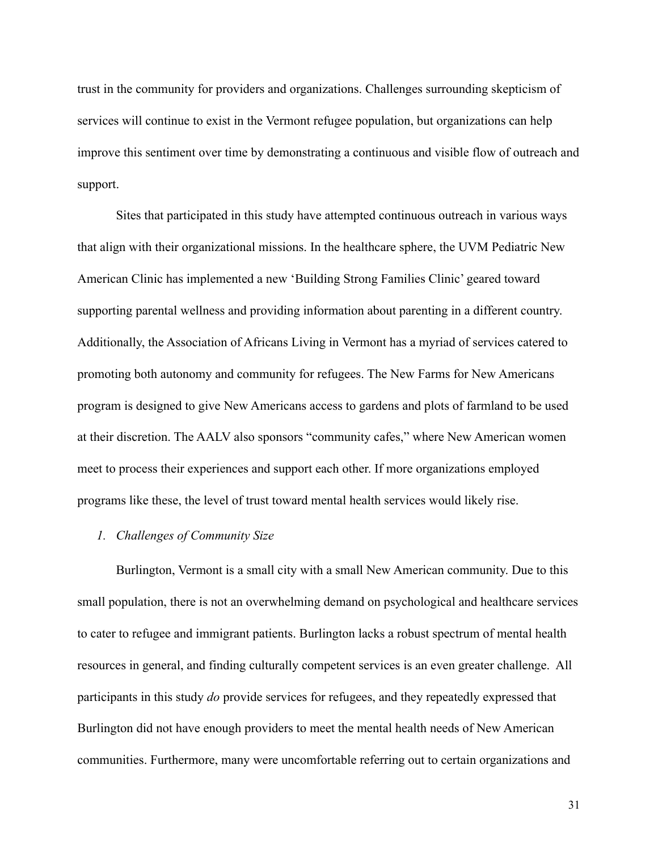trust in the community for providers and organizations. Challenges surrounding skepticism of services will continue to exist in the Vermont refugee population, but organizations can help improve this sentiment over time by demonstrating a continuous and visible flow of outreach and support.

Sites that participated in this study have attempted continuous outreach in various ways that align with their organizational missions. In the healthcare sphere, the UVM Pediatric New American Clinic has implemented a new 'Building Strong Families Clinic' geared toward supporting parental wellness and providing information about parenting in a different country. Additionally, the Association of Africans Living in Vermont has a myriad of services catered to promoting both autonomy and community for refugees. The New Farms for New Americans program is designed to give New Americans access to gardens and plots of farmland to be used at their discretion. The AALV also sponsors "community cafes," where New American women meet to process their experiences and support each other. If more organizations employed programs like these, the level of trust toward mental health services would likely rise.

# *1. Challenges of Community Size*

 Burlington, Vermont is a small city with a small New American community. Due to this small population, there is not an overwhelming demand on psychological and healthcare services to cater to refugee and immigrant patients. Burlington lacks a robust spectrum of mental health resources in general, and finding culturally competent services is an even greater challenge. All participants in this study *do* provide services for refugees, and they repeatedly expressed that Burlington did not have enough providers to meet the mental health needs of New American communities. Furthermore, many were uncomfortable referring out to certain organizations and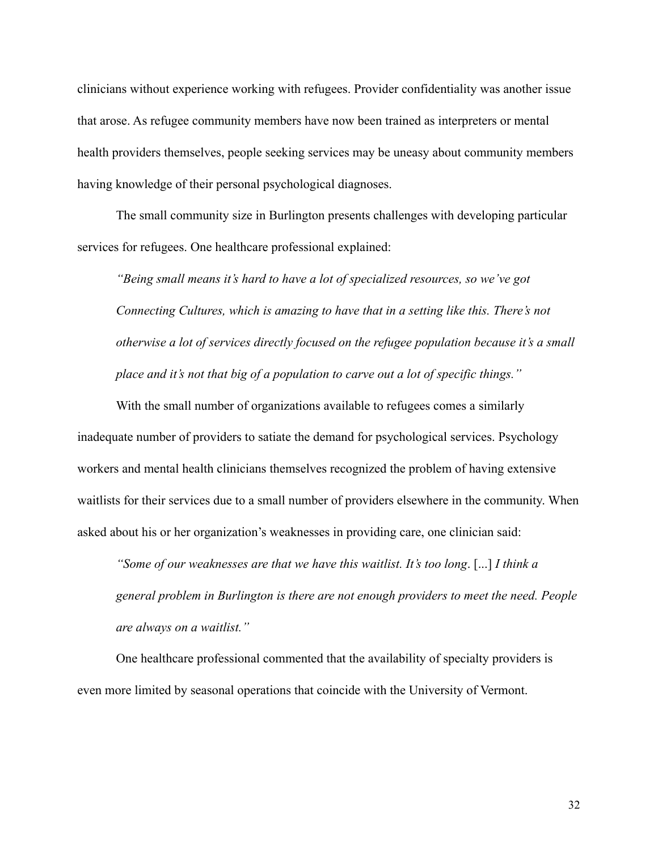clinicians without experience working with refugees. Provider confidentiality was another issue that arose. As refugee community members have now been trained as interpreters or mental health providers themselves, people seeking services may be uneasy about community members having knowledge of their personal psychological diagnoses.

 The small community size in Burlington presents challenges with developing particular services for refugees. One healthcare professional explained:

*"Being small means it's hard to have a lot of specialized resources, so we've got Connecting Cultures, which is amazing to have that in a setting like this. There's not otherwise a lot of services directly focused on the refugee population because it's a small place and it's not that big of a population to carve out a lot of specific things."* 

 With the small number of organizations available to refugees comes a similarly inadequate number of providers to satiate the demand for psychological services. Psychology workers and mental health clinicians themselves recognized the problem of having extensive waitlists for their services due to a small number of providers elsewhere in the community. When asked about his or her organization's weaknesses in providing care, one clinician said:

*"Some of our weaknesses are that we have this waitlist. It's too long*. [...] *I think a general problem in Burlington is there are not enough providers to meet the need. People are always on a waitlist."* 

One healthcare professional commented that the availability of specialty providers is even more limited by seasonal operations that coincide with the University of Vermont.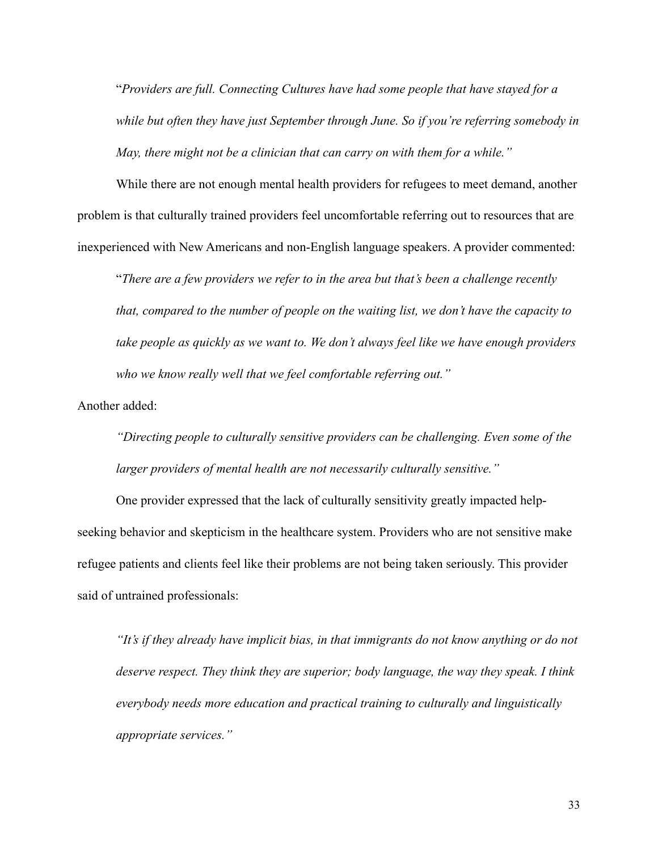"*Providers are full. Connecting Cultures have had some people that have stayed for a while but often they have just September through June. So if you're referring somebody in May, there might not be a clinician that can carry on with them for a while."* 

While there are not enough mental health providers for refugees to meet demand, another problem is that culturally trained providers feel uncomfortable referring out to resources that are inexperienced with New Americans and non-English language speakers. A provider commented:

"*There are a few providers we refer to in the area but that's been a challenge recently that, compared to the number of people on the waiting list, we don't have the capacity to take people as quickly as we want to. We don't always feel like we have enough providers who we know really well that we feel comfortable referring out."* 

Another added:

*"Directing people to culturally sensitive providers can be challenging. Even some of the larger providers of mental health are not necessarily culturally sensitive."* 

 One provider expressed that the lack of culturally sensitivity greatly impacted helpseeking behavior and skepticism in the healthcare system. Providers who are not sensitive make refugee patients and clients feel like their problems are not being taken seriously. This provider said of untrained professionals:

*"It's if they already have implicit bias, in that immigrants do not know anything or do not deserve respect. They think they are superior; body language, the way they speak. I think everybody needs more education and practical training to culturally and linguistically appropriate services."*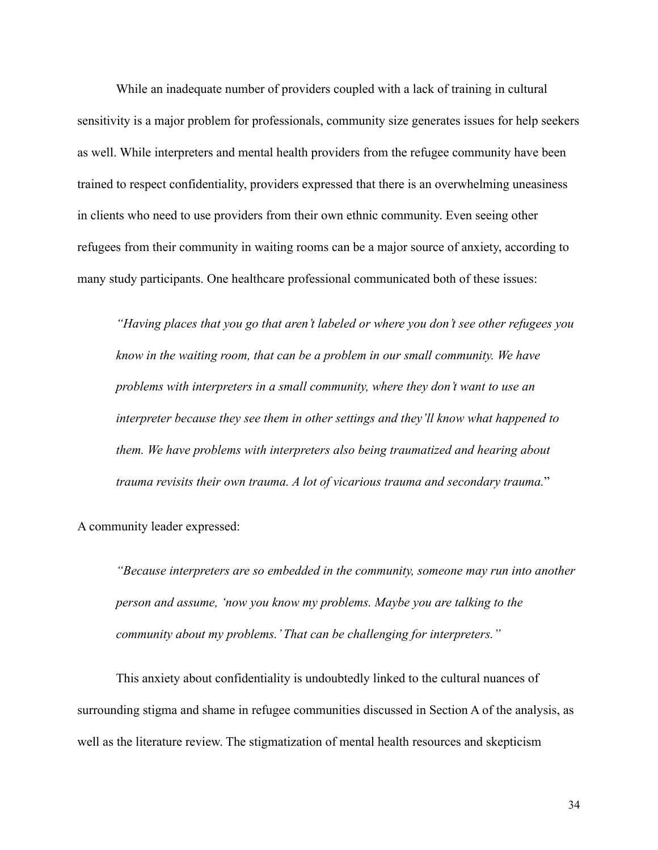While an inadequate number of providers coupled with a lack of training in cultural sensitivity is a major problem for professionals, community size generates issues for help seekers as well. While interpreters and mental health providers from the refugee community have been trained to respect confidentiality, providers expressed that there is an overwhelming uneasiness in clients who need to use providers from their own ethnic community. Even seeing other refugees from their community in waiting rooms can be a major source of anxiety, according to many study participants. One healthcare professional communicated both of these issues:

*"Having places that you go that aren't labeled or where you don't see other refugees you know in the waiting room, that can be a problem in our small community. We have problems with interpreters in a small community, where they don't want to use an interpreter because they see them in other settings and they'll know what happened to them. We have problems with interpreters also being traumatized and hearing about trauma revisits their own trauma. A lot of vicarious trauma and secondary trauma.*"

A community leader expressed:

*"Because interpreters are so embedded in the community, someone may run into another person and assume, 'now you know my problems. Maybe you are talking to the community about my problems.' That can be challenging for interpreters."*

 This anxiety about confidentiality is undoubtedly linked to the cultural nuances of surrounding stigma and shame in refugee communities discussed in Section A of the analysis, as well as the literature review. The stigmatization of mental health resources and skepticism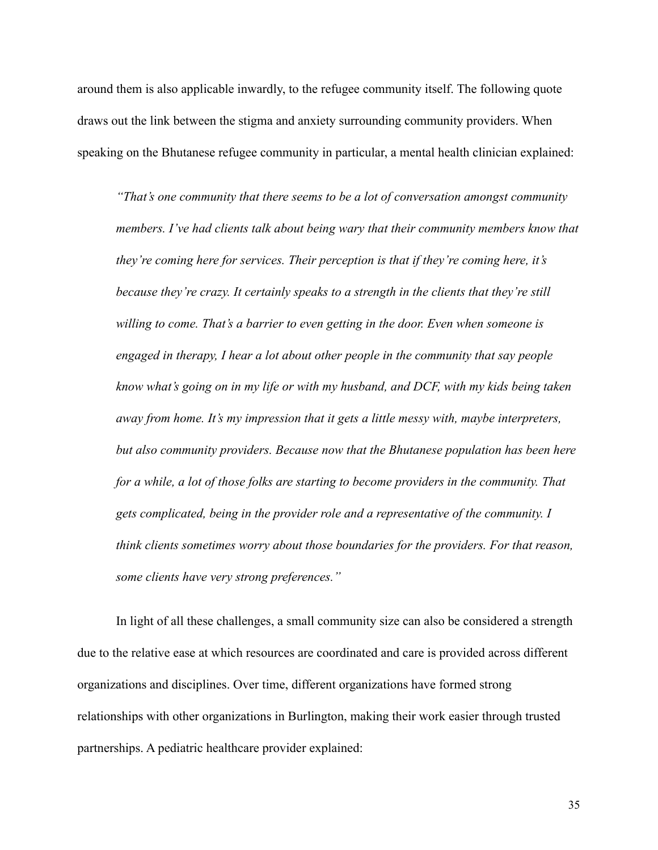around them is also applicable inwardly, to the refugee community itself. The following quote draws out the link between the stigma and anxiety surrounding community providers. When speaking on the Bhutanese refugee community in particular, a mental health clinician explained:

*"That's one community that there seems to be a lot of conversation amongst community members. I've had clients talk about being wary that their community members know that they're coming here for services. Their perception is that if they're coming here, it's because they're crazy. It certainly speaks to a strength in the clients that they're still willing to come. That's a barrier to even getting in the door. Even when someone is engaged in therapy, I hear a lot about other people in the community that say people know what's going on in my life or with my husband, and DCF, with my kids being taken away from home. It's my impression that it gets a little messy with, maybe interpreters, but also community providers. Because now that the Bhutanese population has been here for a while, a lot of those folks are starting to become providers in the community. That gets complicated, being in the provider role and a representative of the community. I think clients sometimes worry about those boundaries for the providers. For that reason, some clients have very strong preferences."* 

In light of all these challenges, a small community size can also be considered a strength due to the relative ease at which resources are coordinated and care is provided across different organizations and disciplines. Over time, different organizations have formed strong relationships with other organizations in Burlington, making their work easier through trusted partnerships. A pediatric healthcare provider explained: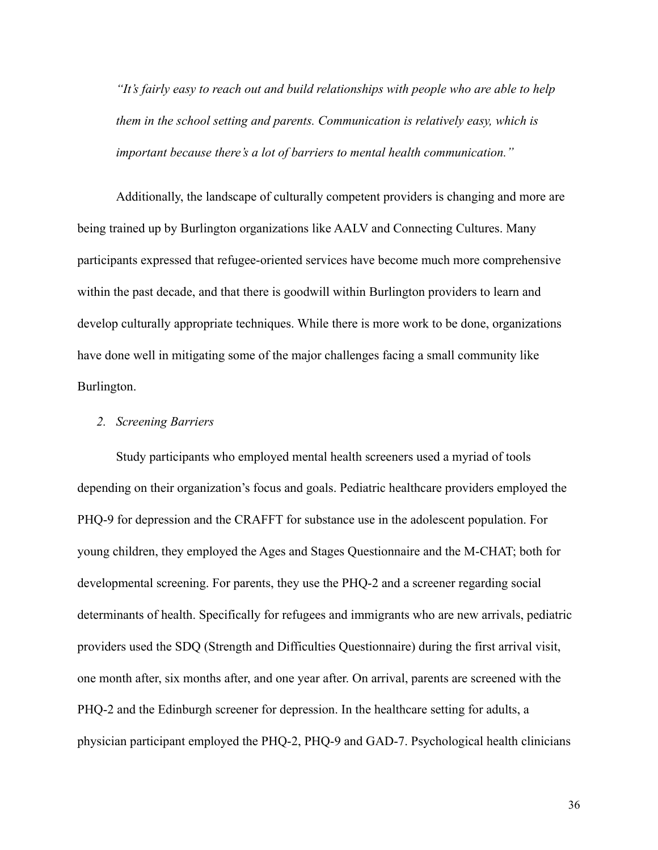*"It's fairly easy to reach out and build relationships with people who are able to help them in the school setting and parents. Communication is relatively easy, which is important because there's a lot of barriers to mental health communication."* 

 Additionally, the landscape of culturally competent providers is changing and more are being trained up by Burlington organizations like AALV and Connecting Cultures. Many participants expressed that refugee-oriented services have become much more comprehensive within the past decade, and that there is goodwill within Burlington providers to learn and develop culturally appropriate techniques. While there is more work to be done, organizations have done well in mitigating some of the major challenges facing a small community like Burlington.

#### *2. Screening Barriers*

 Study participants who employed mental health screeners used a myriad of tools depending on their organization's focus and goals. Pediatric healthcare providers employed the PHQ-9 for depression and the CRAFFT for substance use in the adolescent population. For young children, they employed the Ages and Stages Questionnaire and the M-CHAT; both for developmental screening. For parents, they use the PHQ-2 and a screener regarding social determinants of health. Specifically for refugees and immigrants who are new arrivals, pediatric providers used the SDQ (Strength and Difficulties Questionnaire) during the first arrival visit, one month after, six months after, and one year after. On arrival, parents are screened with the PHQ-2 and the Edinburgh screener for depression. In the healthcare setting for adults, a physician participant employed the PHQ-2, PHQ-9 and GAD-7. Psychological health clinicians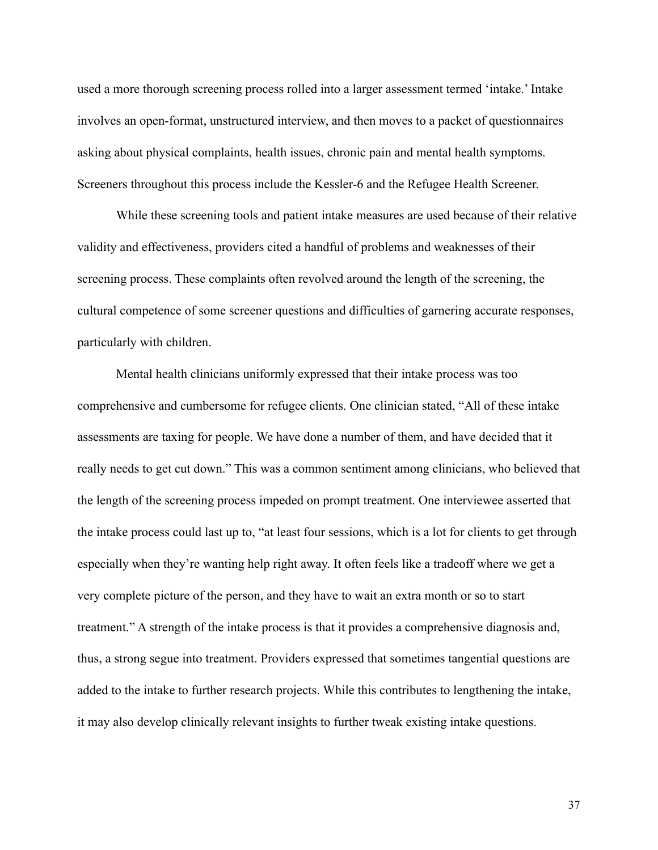used a more thorough screening process rolled into a larger assessment termed 'intake.' Intake involves an open-format, unstructured interview, and then moves to a packet of questionnaires asking about physical complaints, health issues, chronic pain and mental health symptoms. Screeners throughout this process include the Kessler-6 and the Refugee Health Screener.

 While these screening tools and patient intake measures are used because of their relative validity and effectiveness, providers cited a handful of problems and weaknesses of their screening process. These complaints often revolved around the length of the screening, the cultural competence of some screener questions and difficulties of garnering accurate responses, particularly with children.

 Mental health clinicians uniformly expressed that their intake process was too comprehensive and cumbersome for refugee clients. One clinician stated, "All of these intake assessments are taxing for people. We have done a number of them, and have decided that it really needs to get cut down." This was a common sentiment among clinicians, who believed that the length of the screening process impeded on prompt treatment. One interviewee asserted that the intake process could last up to, "at least four sessions, which is a lot for clients to get through especially when they're wanting help right away. It often feels like a tradeoff where we get a very complete picture of the person, and they have to wait an extra month or so to start treatment." A strength of the intake process is that it provides a comprehensive diagnosis and, thus, a strong segue into treatment. Providers expressed that sometimes tangential questions are added to the intake to further research projects. While this contributes to lengthening the intake, it may also develop clinically relevant insights to further tweak existing intake questions.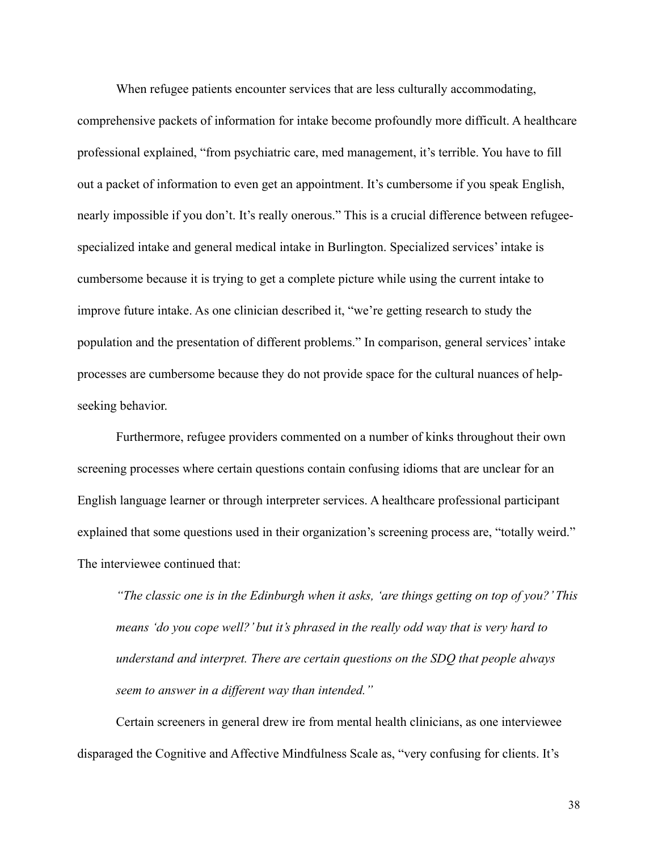When refugee patients encounter services that are less culturally accommodating, comprehensive packets of information for intake become profoundly more difficult. A healthcare professional explained, "from psychiatric care, med management, it's terrible. You have to fill out a packet of information to even get an appointment. It's cumbersome if you speak English, nearly impossible if you don't. It's really onerous." This is a crucial difference between refugeespecialized intake and general medical intake in Burlington. Specialized services' intake is cumbersome because it is trying to get a complete picture while using the current intake to improve future intake. As one clinician described it, "we're getting research to study the population and the presentation of different problems." In comparison, general services' intake processes are cumbersome because they do not provide space for the cultural nuances of helpseeking behavior.

 Furthermore, refugee providers commented on a number of kinks throughout their own screening processes where certain questions contain confusing idioms that are unclear for an English language learner or through interpreter services. A healthcare professional participant explained that some questions used in their organization's screening process are, "totally weird." The interviewee continued that:

*"The classic one is in the Edinburgh when it asks, 'are things getting on top of you?' This means 'do you cope well?' but it's phrased in the really odd way that is very hard to understand and interpret. There are certain questions on the SDQ that people always seem to answer in a different way than intended."* 

Certain screeners in general drew ire from mental health clinicians, as one interviewee disparaged the Cognitive and Affective Mindfulness Scale as, "very confusing for clients. It's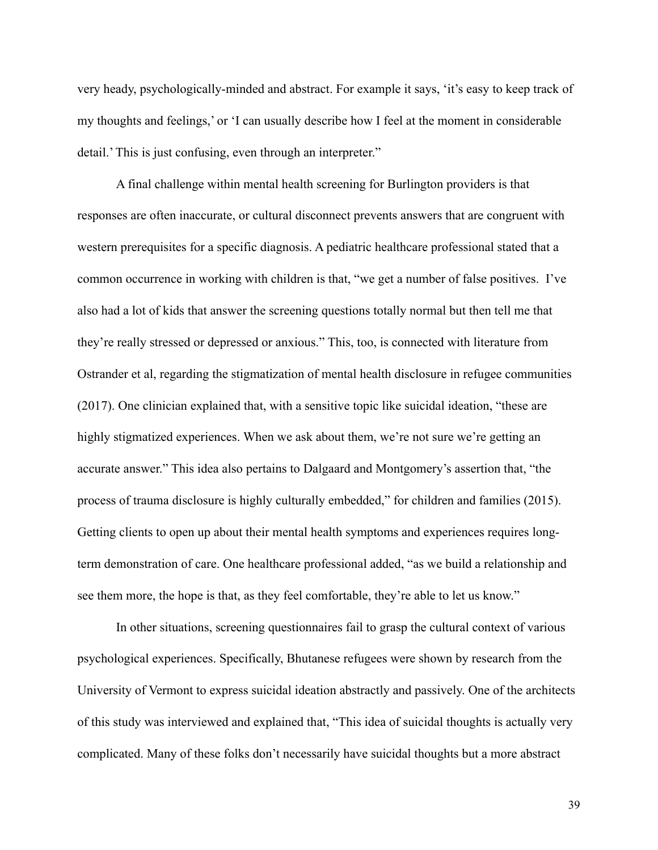very heady, psychologically-minded and abstract. For example it says, 'it's easy to keep track of my thoughts and feelings,' or 'I can usually describe how I feel at the moment in considerable detail.' This is just confusing, even through an interpreter."

 A final challenge within mental health screening for Burlington providers is that responses are often inaccurate, or cultural disconnect prevents answers that are congruent with western prerequisites for a specific diagnosis. A pediatric healthcare professional stated that a common occurrence in working with children is that, "we get a number of false positives. I've also had a lot of kids that answer the screening questions totally normal but then tell me that they're really stressed or depressed or anxious." This, too, is connected with literature from Ostrander et al, regarding the stigmatization of mental health disclosure in refugee communities (2017). One clinician explained that, with a sensitive topic like suicidal ideation, "these are highly stigmatized experiences. When we ask about them, we're not sure we're getting an accurate answer." This idea also pertains to Dalgaard and Montgomery's assertion that, "the process of trauma disclosure is highly culturally embedded," for children and families (2015). Getting clients to open up about their mental health symptoms and experiences requires longterm demonstration of care. One healthcare professional added, "as we build a relationship and see them more, the hope is that, as they feel comfortable, they're able to let us know."

 In other situations, screening questionnaires fail to grasp the cultural context of various psychological experiences. Specifically, Bhutanese refugees were shown by research from the University of Vermont to express suicidal ideation abstractly and passively. One of the architects of this study was interviewed and explained that, "This idea of suicidal thoughts is actually very complicated. Many of these folks don't necessarily have suicidal thoughts but a more abstract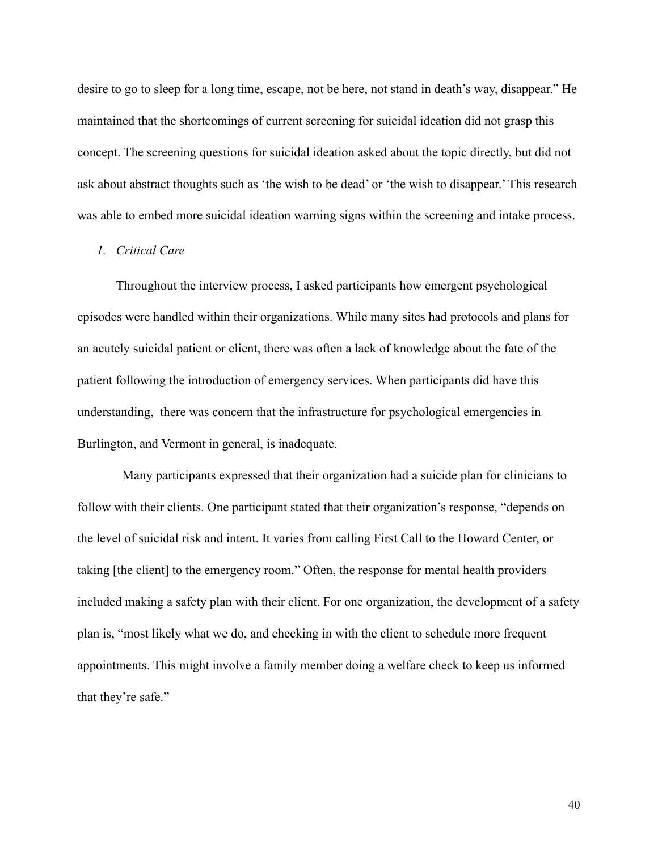desire to go to sleep for a long time, escape, not be here, not stand in death's way, disappear." He maintained that the shortcomings of current screening for suicidal ideation did not grasp this concept. The screening questions for suicidal ideation asked about the topic directly, but did not ask about abstract thoughts such as 'the wish to be dead' or 'the wish to disappear.' This research was able to embed more suicidal ideation warning signs within the screening and intake process.

# *1. Critical Care*

 Throughout the interview process, I asked participants how emergent psychological episodes were handled within their organizations. While many sites had protocols and plans for an acutely suicidal patient or client, there was often a lack of knowledge about the fate of the patient following the introduction of emergency services. When participants did have this understanding, there was concern that the infrastructure for psychological emergencies in Burlington, and Vermont in general, is inadequate.

 Many participants expressed that their organization had a suicide plan for clinicians to follow with their clients. One participant stated that their organization's response, "depends on the level of suicidal risk and intent. It varies from calling First Call to the Howard Center, or taking [the client] to the emergency room." Often, the response for mental health providers included making a safety plan with their client. For one organization, the development of a safety plan is, "most likely what we do, and checking in with the client to schedule more frequent appointments. This might involve a family member doing a welfare check to keep us informed that they're safe."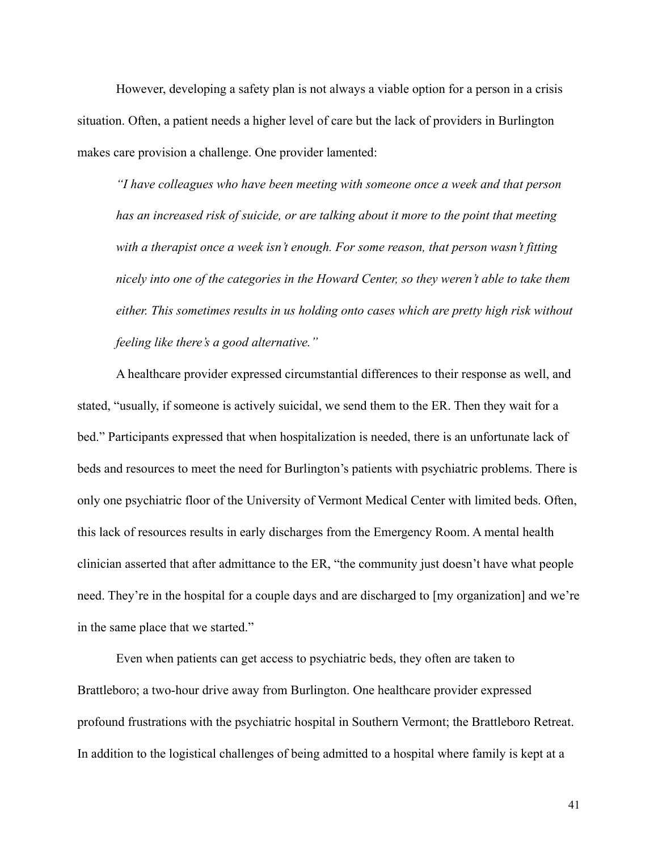However, developing a safety plan is not always a viable option for a person in a crisis situation. Often, a patient needs a higher level of care but the lack of providers in Burlington makes care provision a challenge. One provider lamented:

*"I have colleagues who have been meeting with someone once a week and that person has an increased risk of suicide, or are talking about it more to the point that meeting with a therapist once a week isn't enough. For some reason, that person wasn't fitting nicely into one of the categories in the Howard Center, so they weren't able to take them either. This sometimes results in us holding onto cases which are pretty high risk without feeling like there's a good alternative."* 

A healthcare provider expressed circumstantial differences to their response as well, and stated, "usually, if someone is actively suicidal, we send them to the ER. Then they wait for a bed." Participants expressed that when hospitalization is needed, there is an unfortunate lack of beds and resources to meet the need for Burlington's patients with psychiatric problems. There is only one psychiatric floor of the University of Vermont Medical Center with limited beds. Often, this lack of resources results in early discharges from the Emergency Room. A mental health clinician asserted that after admittance to the ER, "the community just doesn't have what people need. They're in the hospital for a couple days and are discharged to [my organization] and we're in the same place that we started."

Even when patients can get access to psychiatric beds, they often are taken to Brattleboro; a two-hour drive away from Burlington. One healthcare provider expressed profound frustrations with the psychiatric hospital in Southern Vermont; the Brattleboro Retreat. In addition to the logistical challenges of being admitted to a hospital where family is kept at a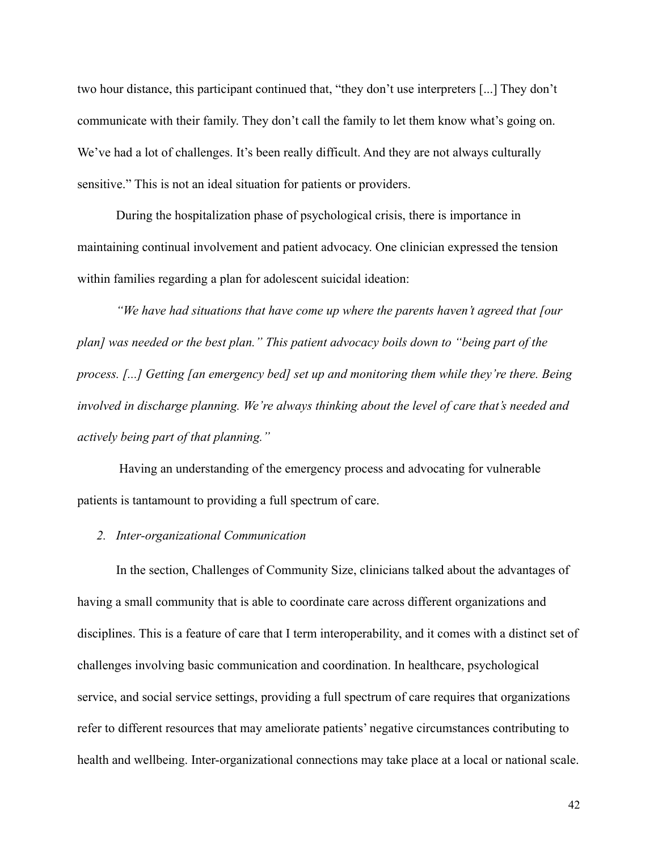two hour distance, this participant continued that, "they don't use interpreters [...] They don't communicate with their family. They don't call the family to let them know what's going on. We've had a lot of challenges. It's been really difficult. And they are not always culturally sensitive." This is not an ideal situation for patients or providers.

During the hospitalization phase of psychological crisis, there is importance in maintaining continual involvement and patient advocacy. One clinician expressed the tension within families regarding a plan for adolescent suicidal ideation:

*"We have had situations that have come up where the parents haven't agreed that [our plan] was needed or the best plan." This patient advocacy boils down to "being part of the process. [...] Getting [an emergency bed] set up and monitoring them while they're there. Being involved in discharge planning. We're always thinking about the level of care that's needed and actively being part of that planning."*

 Having an understanding of the emergency process and advocating for vulnerable patients is tantamount to providing a full spectrum of care.

#### *2. Inter-organizational Communication*

In the section, Challenges of Community Size, clinicians talked about the advantages of having a small community that is able to coordinate care across different organizations and disciplines. This is a feature of care that I term interoperability, and it comes with a distinct set of challenges involving basic communication and coordination. In healthcare, psychological service, and social service settings, providing a full spectrum of care requires that organizations refer to different resources that may ameliorate patients' negative circumstances contributing to health and wellbeing. Inter-organizational connections may take place at a local or national scale.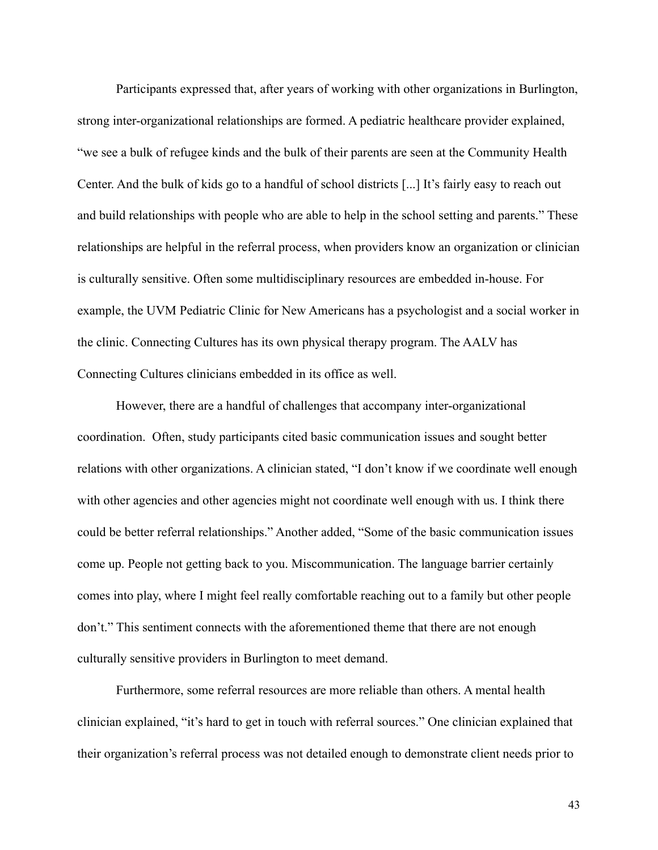Participants expressed that, after years of working with other organizations in Burlington, strong inter-organizational relationships are formed. A pediatric healthcare provider explained, "we see a bulk of refugee kinds and the bulk of their parents are seen at the Community Health Center. And the bulk of kids go to a handful of school districts [...] It's fairly easy to reach out and build relationships with people who are able to help in the school setting and parents." These relationships are helpful in the referral process, when providers know an organization or clinician is culturally sensitive. Often some multidisciplinary resources are embedded in-house. For example, the UVM Pediatric Clinic for New Americans has a psychologist and a social worker in the clinic. Connecting Cultures has its own physical therapy program. The AALV has Connecting Cultures clinicians embedded in its office as well.

 However, there are a handful of challenges that accompany inter-organizational coordination. Often, study participants cited basic communication issues and sought better relations with other organizations. A clinician stated, "I don't know if we coordinate well enough with other agencies and other agencies might not coordinate well enough with us. I think there could be better referral relationships." Another added, "Some of the basic communication issues come up. People not getting back to you. Miscommunication. The language barrier certainly comes into play, where I might feel really comfortable reaching out to a family but other people don't." This sentiment connects with the aforementioned theme that there are not enough culturally sensitive providers in Burlington to meet demand.

 Furthermore, some referral resources are more reliable than others. A mental health clinician explained, "it's hard to get in touch with referral sources." One clinician explained that their organization's referral process was not detailed enough to demonstrate client needs prior to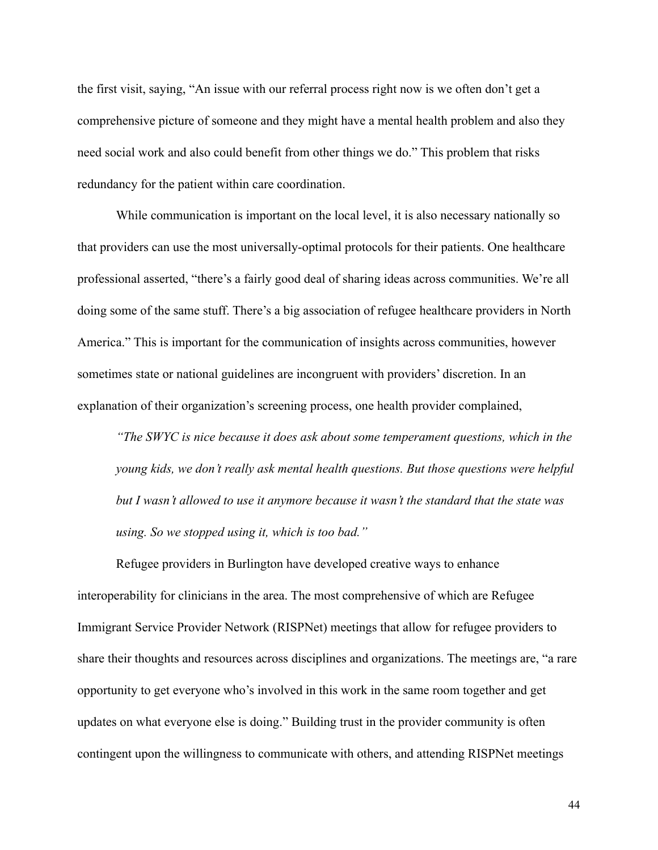the first visit, saying, "An issue with our referral process right now is we often don't get a comprehensive picture of someone and they might have a mental health problem and also they need social work and also could benefit from other things we do." This problem that risks redundancy for the patient within care coordination.

 While communication is important on the local level, it is also necessary nationally so that providers can use the most universally-optimal protocols for their patients. One healthcare professional asserted, "there's a fairly good deal of sharing ideas across communities. We're all doing some of the same stuff. There's a big association of refugee healthcare providers in North America." This is important for the communication of insights across communities, however sometimes state or national guidelines are incongruent with providers' discretion. In an explanation of their organization's screening process, one health provider complained,

*"The SWYC is nice because it does ask about some temperament questions, which in the young kids, we don't really ask mental health questions. But those questions were helpful but I wasn't allowed to use it anymore because it wasn't the standard that the state was using. So we stopped using it, which is too bad."*

Refugee providers in Burlington have developed creative ways to enhance interoperability for clinicians in the area. The most comprehensive of which are Refugee Immigrant Service Provider Network (RISPNet) meetings that allow for refugee providers to share their thoughts and resources across disciplines and organizations. The meetings are, "a rare opportunity to get everyone who's involved in this work in the same room together and get updates on what everyone else is doing." Building trust in the provider community is often contingent upon the willingness to communicate with others, and attending RISPNet meetings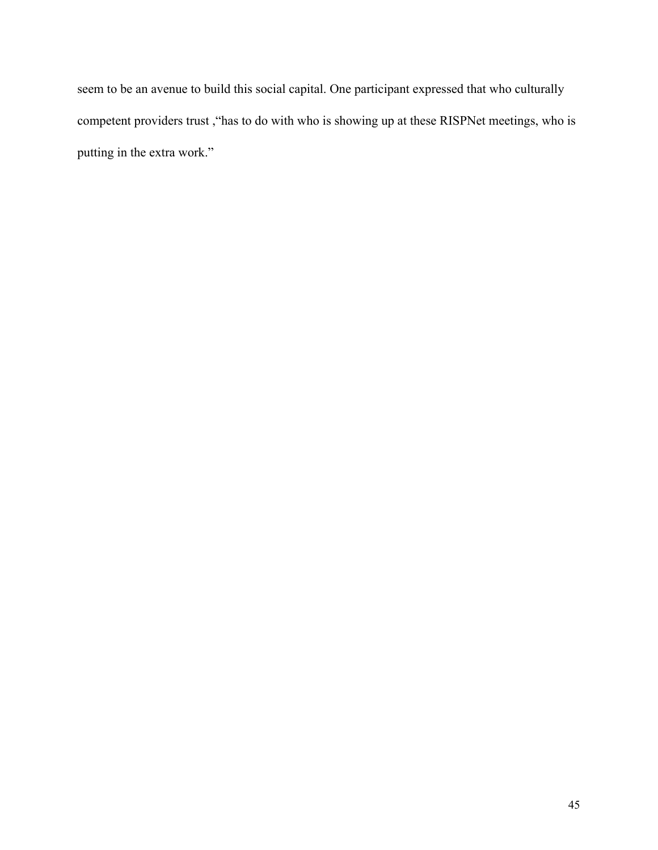seem to be an avenue to build this social capital. One participant expressed that who culturally competent providers trust ,"has to do with who is showing up at these RISPNet meetings, who is putting in the extra work."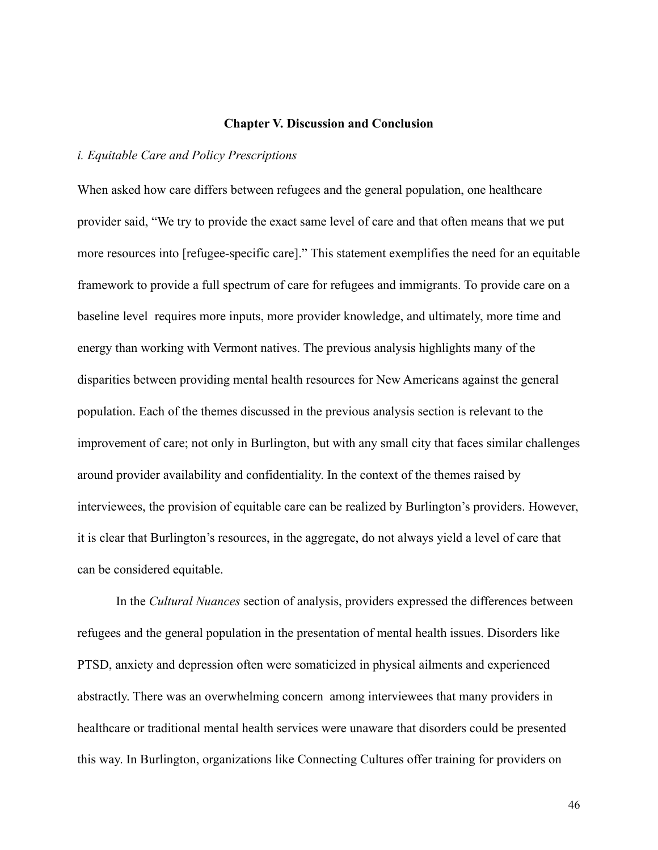#### **Chapter V. Discussion and Conclusion**

#### *i. Equitable Care and Policy Prescriptions*

When asked how care differs between refugees and the general population, one healthcare provider said, "We try to provide the exact same level of care and that often means that we put more resources into [refugee-specific care]." This statement exemplifies the need for an equitable framework to provide a full spectrum of care for refugees and immigrants. To provide care on a baseline level requires more inputs, more provider knowledge, and ultimately, more time and energy than working with Vermont natives. The previous analysis highlights many of the disparities between providing mental health resources for New Americans against the general population. Each of the themes discussed in the previous analysis section is relevant to the improvement of care; not only in Burlington, but with any small city that faces similar challenges around provider availability and confidentiality. In the context of the themes raised by interviewees, the provision of equitable care can be realized by Burlington's providers. However, it is clear that Burlington's resources, in the aggregate, do not always yield a level of care that can be considered equitable.

In the *Cultural Nuances* section of analysis, providers expressed the differences between refugees and the general population in the presentation of mental health issues. Disorders like PTSD, anxiety and depression often were somaticized in physical ailments and experienced abstractly. There was an overwhelming concern among interviewees that many providers in healthcare or traditional mental health services were unaware that disorders could be presented this way. In Burlington, organizations like Connecting Cultures offer training for providers on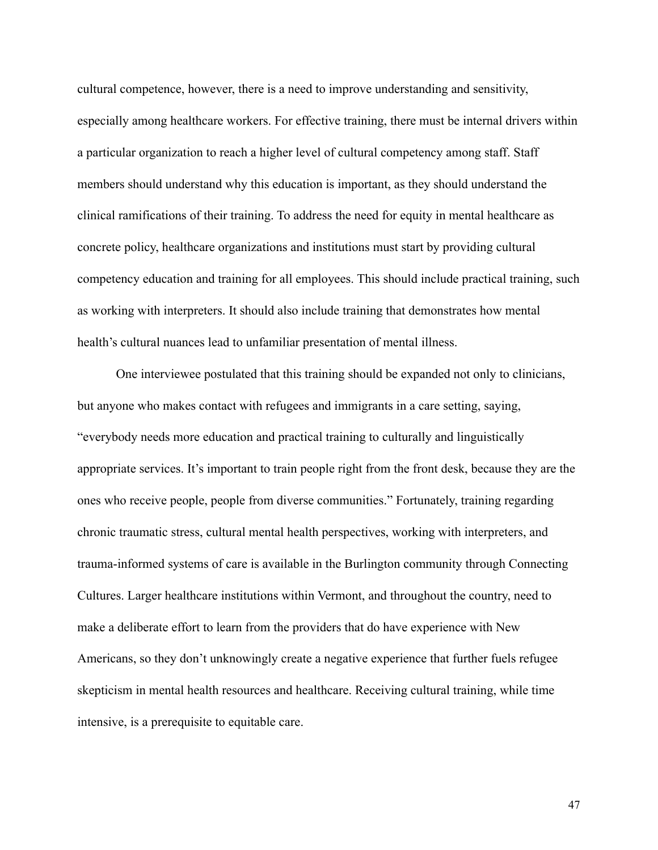cultural competence, however, there is a need to improve understanding and sensitivity, especially among healthcare workers. For effective training, there must be internal drivers within a particular organization to reach a higher level of cultural competency among staff. Staff members should understand why this education is important, as they should understand the clinical ramifications of their training. To address the need for equity in mental healthcare as concrete policy, healthcare organizations and institutions must start by providing cultural competency education and training for all employees. This should include practical training, such as working with interpreters. It should also include training that demonstrates how mental health's cultural nuances lead to unfamiliar presentation of mental illness.

One interviewee postulated that this training should be expanded not only to clinicians, but anyone who makes contact with refugees and immigrants in a care setting, saying, "everybody needs more education and practical training to culturally and linguistically appropriate services. It's important to train people right from the front desk, because they are the ones who receive people, people from diverse communities." Fortunately, training regarding chronic traumatic stress, cultural mental health perspectives, working with interpreters, and trauma-informed systems of care is available in the Burlington community through Connecting Cultures. Larger healthcare institutions within Vermont, and throughout the country, need to make a deliberate effort to learn from the providers that do have experience with New Americans, so they don't unknowingly create a negative experience that further fuels refugee skepticism in mental health resources and healthcare. Receiving cultural training, while time intensive, is a prerequisite to equitable care.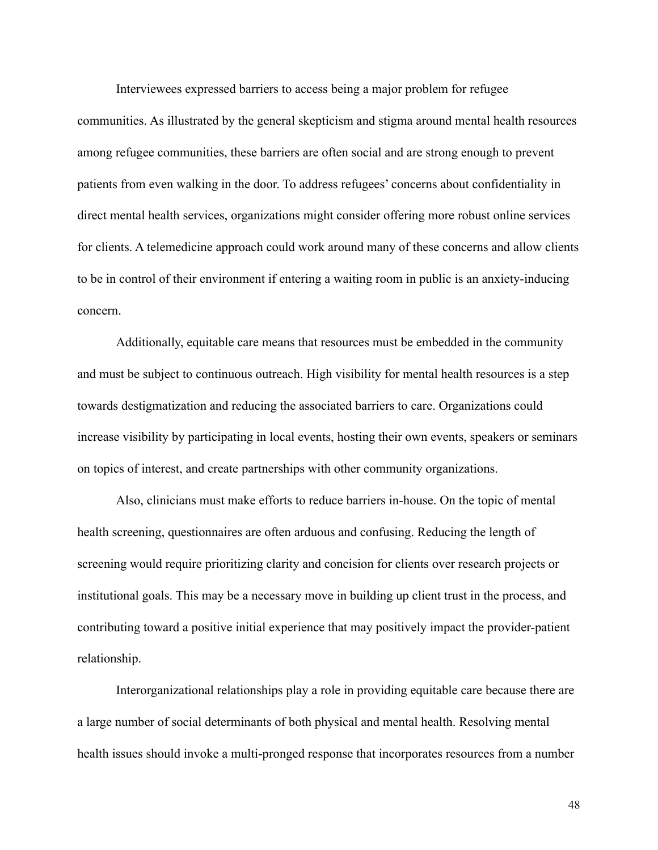Interviewees expressed barriers to access being a major problem for refugee communities. As illustrated by the general skepticism and stigma around mental health resources among refugee communities, these barriers are often social and are strong enough to prevent patients from even walking in the door. To address refugees' concerns about confidentiality in direct mental health services, organizations might consider offering more robust online services for clients. A telemedicine approach could work around many of these concerns and allow clients to be in control of their environment if entering a waiting room in public is an anxiety-inducing concern.

Additionally, equitable care means that resources must be embedded in the community and must be subject to continuous outreach. High visibility for mental health resources is a step towards destigmatization and reducing the associated barriers to care. Organizations could increase visibility by participating in local events, hosting their own events, speakers or seminars on topics of interest, and create partnerships with other community organizations.

Also, clinicians must make efforts to reduce barriers in-house. On the topic of mental health screening, questionnaires are often arduous and confusing. Reducing the length of screening would require prioritizing clarity and concision for clients over research projects or institutional goals. This may be a necessary move in building up client trust in the process, and contributing toward a positive initial experience that may positively impact the provider-patient relationship.

 Interorganizational relationships play a role in providing equitable care because there are a large number of social determinants of both physical and mental health. Resolving mental health issues should invoke a multi-pronged response that incorporates resources from a number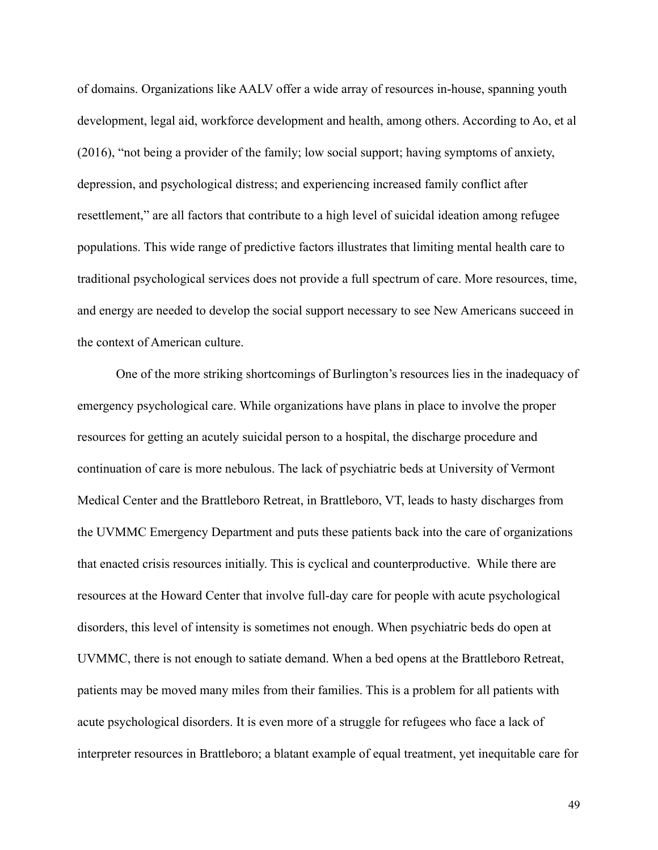of domains. Organizations like AALV offer a wide array of resources in-house, spanning youth development, legal aid, workforce development and health, among others. According to Ao, et al (2016), "not being a provider of the family; low social support; having symptoms of anxiety, depression, and psychological distress; and experiencing increased family conflict after resettlement," are all factors that contribute to a high level of suicidal ideation among refugee populations. This wide range of predictive factors illustrates that limiting mental health care to traditional psychological services does not provide a full spectrum of care. More resources, time, and energy are needed to develop the social support necessary to see New Americans succeed in the context of American culture.

 One of the more striking shortcomings of Burlington's resources lies in the inadequacy of emergency psychological care. While organizations have plans in place to involve the proper resources for getting an acutely suicidal person to a hospital, the discharge procedure and continuation of care is more nebulous. The lack of psychiatric beds at University of Vermont Medical Center and the Brattleboro Retreat, in Brattleboro, VT, leads to hasty discharges from the UVMMC Emergency Department and puts these patients back into the care of organizations that enacted crisis resources initially. This is cyclical and counterproductive. While there are resources at the Howard Center that involve full-day care for people with acute psychological disorders, this level of intensity is sometimes not enough. When psychiatric beds do open at UVMMC, there is not enough to satiate demand. When a bed opens at the Brattleboro Retreat, patients may be moved many miles from their families. This is a problem for all patients with acute psychological disorders. It is even more of a struggle for refugees who face a lack of interpreter resources in Brattleboro; a blatant example of equal treatment, yet inequitable care for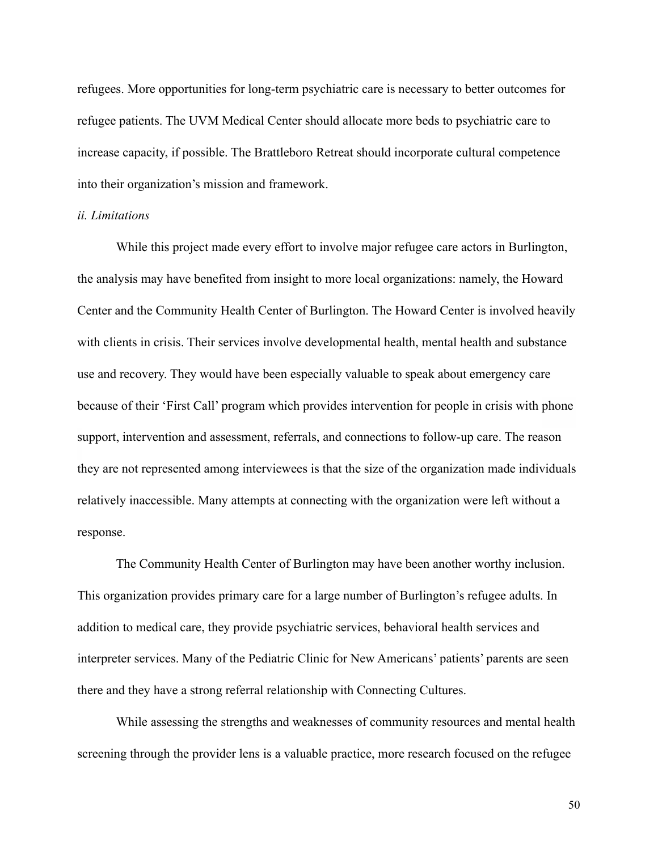refugees. More opportunities for long-term psychiatric care is necessary to better outcomes for refugee patients. The UVM Medical Center should allocate more beds to psychiatric care to increase capacity, if possible. The Brattleboro Retreat should incorporate cultural competence into their organization's mission and framework.

#### *ii. Limitations*

While this project made every effort to involve major refugee care actors in Burlington, the analysis may have benefited from insight to more local organizations: namely, the Howard Center and the Community Health Center of Burlington. The Howard Center is involved heavily with clients in crisis. Their services involve developmental health, mental health and substance use and recovery. They would have been especially valuable to speak about emergency care because of their 'First Call' program which provides intervention for people in crisis with phone support, intervention and assessment, referrals, and connections to follow-up care. The reason they are not represented among interviewees is that the size of the organization made individuals relatively inaccessible. Many attempts at connecting with the organization were left without a response.

 The Community Health Center of Burlington may have been another worthy inclusion. This organization provides primary care for a large number of Burlington's refugee adults. In addition to medical care, they provide psychiatric services, behavioral health services and interpreter services. Many of the Pediatric Clinic for New Americans' patients' parents are seen there and they have a strong referral relationship with Connecting Cultures.

 While assessing the strengths and weaknesses of community resources and mental health screening through the provider lens is a valuable practice, more research focused on the refugee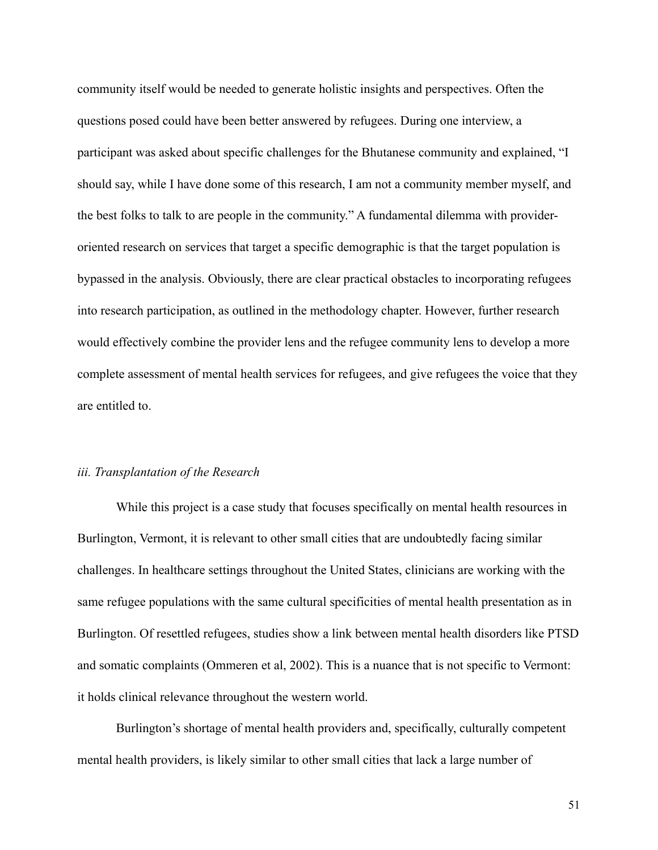community itself would be needed to generate holistic insights and perspectives. Often the questions posed could have been better answered by refugees. During one interview, a participant was asked about specific challenges for the Bhutanese community and explained, "I should say, while I have done some of this research, I am not a community member myself, and the best folks to talk to are people in the community." A fundamental dilemma with provideroriented research on services that target a specific demographic is that the target population is bypassed in the analysis. Obviously, there are clear practical obstacles to incorporating refugees into research participation, as outlined in the methodology chapter. However, further research would effectively combine the provider lens and the refugee community lens to develop a more complete assessment of mental health services for refugees, and give refugees the voice that they are entitled to.

# *iii. Transplantation of the Research*

While this project is a case study that focuses specifically on mental health resources in Burlington, Vermont, it is relevant to other small cities that are undoubtedly facing similar challenges. In healthcare settings throughout the United States, clinicians are working with the same refugee populations with the same cultural specificities of mental health presentation as in Burlington. Of resettled refugees, studies show a link between mental health disorders like PTSD and somatic complaints (Ommeren et al, 2002). This is a nuance that is not specific to Vermont: it holds clinical relevance throughout the western world.

 Burlington's shortage of mental health providers and, specifically, culturally competent mental health providers, is likely similar to other small cities that lack a large number of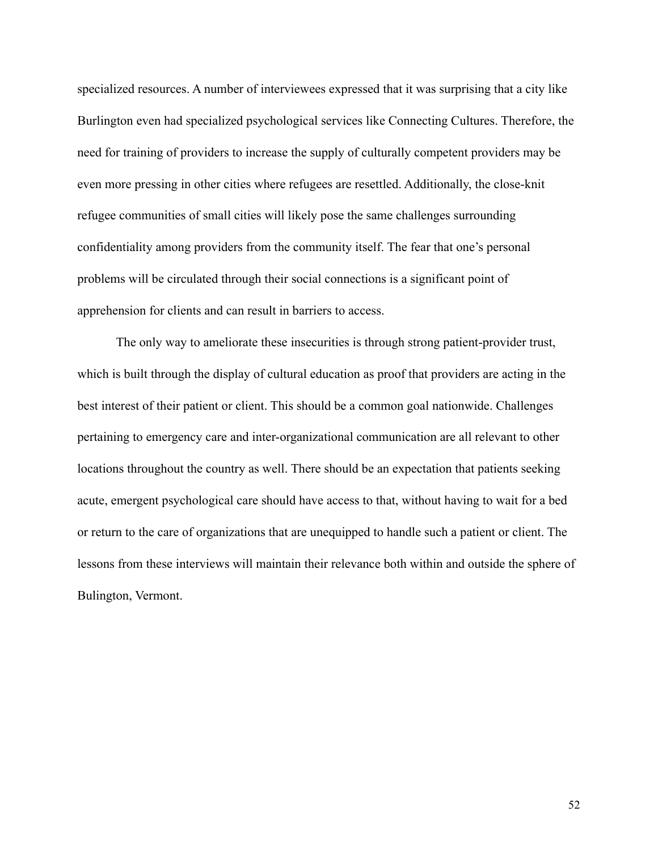specialized resources. A number of interviewees expressed that it was surprising that a city like Burlington even had specialized psychological services like Connecting Cultures. Therefore, the need for training of providers to increase the supply of culturally competent providers may be even more pressing in other cities where refugees are resettled. Additionally, the close-knit refugee communities of small cities will likely pose the same challenges surrounding confidentiality among providers from the community itself. The fear that one's personal problems will be circulated through their social connections is a significant point of apprehension for clients and can result in barriers to access.

The only way to ameliorate these insecurities is through strong patient-provider trust, which is built through the display of cultural education as proof that providers are acting in the best interest of their patient or client. This should be a common goal nationwide. Challenges pertaining to emergency care and inter-organizational communication are all relevant to other locations throughout the country as well. There should be an expectation that patients seeking acute, emergent psychological care should have access to that, without having to wait for a bed or return to the care of organizations that are unequipped to handle such a patient or client. The lessons from these interviews will maintain their relevance both within and outside the sphere of Bulington, Vermont.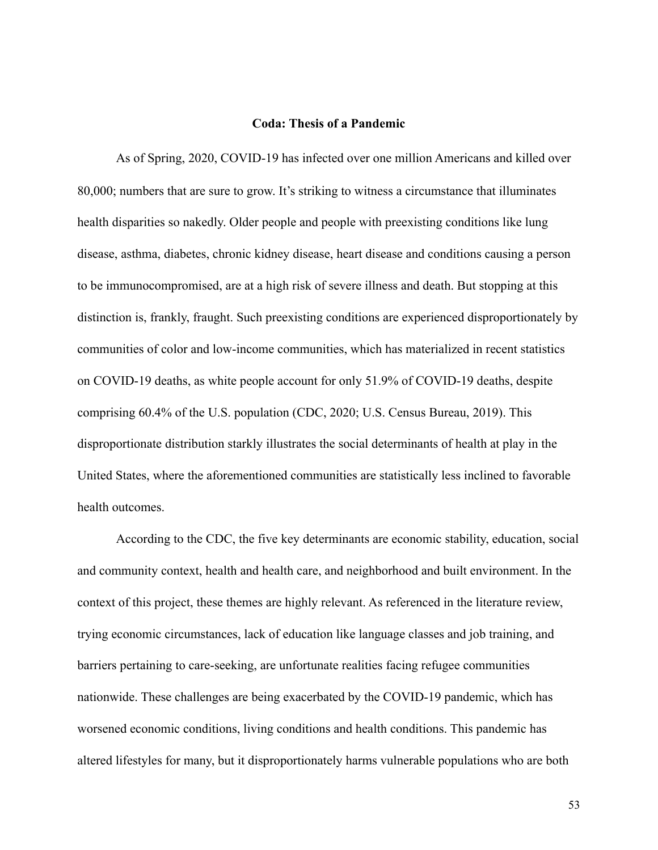#### **Coda: Thesis of a Pandemic**

As of Spring, 2020, COVID-19 has infected over one million Americans and killed over 80,000; numbers that are sure to grow. It's striking to witness a circumstance that illuminates health disparities so nakedly. Older people and people with preexisting conditions like lung disease, asthma, diabetes, chronic kidney disease, heart disease and conditions causing a person to be immunocompromised, are at a high risk of severe illness and death. But stopping at this distinction is, frankly, fraught. Such preexisting conditions are experienced disproportionately by communities of color and low-income communities, which has materialized in recent statistics on COVID-19 deaths, as white people account for only 51.9% of COVID-19 deaths, despite comprising 60.4% of the U.S. population (CDC, 2020; U.S. Census Bureau, 2019). This disproportionate distribution starkly illustrates the social determinants of health at play in the United States, where the aforementioned communities are statistically less inclined to favorable health outcomes.

According to the CDC, the five key determinants are economic stability, education, social and community context, health and health care, and neighborhood and built environment. In the context of this project, these themes are highly relevant. As referenced in the literature review, trying economic circumstances, lack of education like language classes and job training, and barriers pertaining to care-seeking, are unfortunate realities facing refugee communities nationwide. These challenges are being exacerbated by the COVID-19 pandemic, which has worsened economic conditions, living conditions and health conditions. This pandemic has altered lifestyles for many, but it disproportionately harms vulnerable populations who are both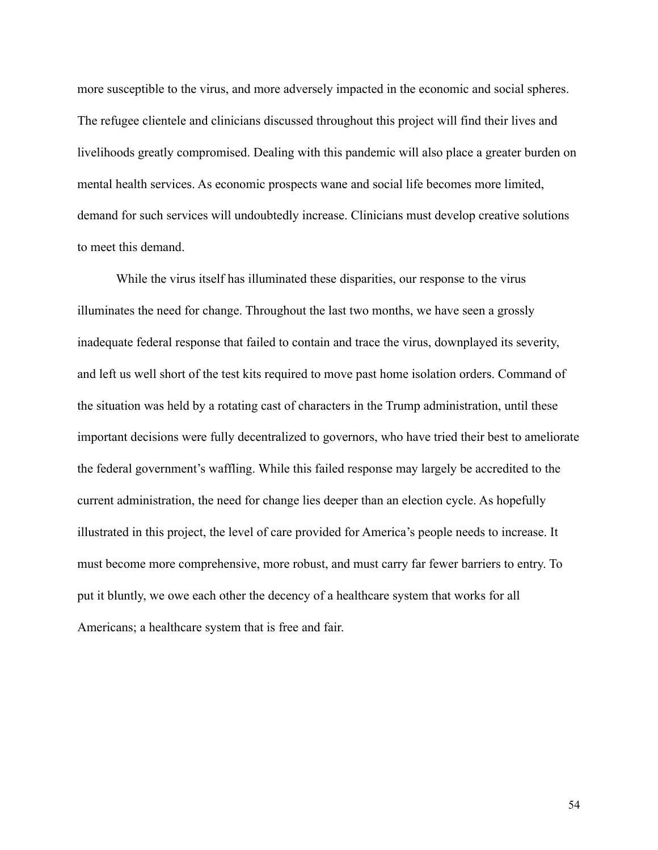more susceptible to the virus, and more adversely impacted in the economic and social spheres. The refugee clientele and clinicians discussed throughout this project will find their lives and livelihoods greatly compromised. Dealing with this pandemic will also place a greater burden on mental health services. As economic prospects wane and social life becomes more limited, demand for such services will undoubtedly increase. Clinicians must develop creative solutions to meet this demand.

While the virus itself has illuminated these disparities, our response to the virus illuminates the need for change. Throughout the last two months, we have seen a grossly inadequate federal response that failed to contain and trace the virus, downplayed its severity, and left us well short of the test kits required to move past home isolation orders. Command of the situation was held by a rotating cast of characters in the Trump administration, until these important decisions were fully decentralized to governors, who have tried their best to ameliorate the federal government's waffling. While this failed response may largely be accredited to the current administration, the need for change lies deeper than an election cycle. As hopefully illustrated in this project, the level of care provided for America's people needs to increase. It must become more comprehensive, more robust, and must carry far fewer barriers to entry. To put it bluntly, we owe each other the decency of a healthcare system that works for all Americans; a healthcare system that is free and fair.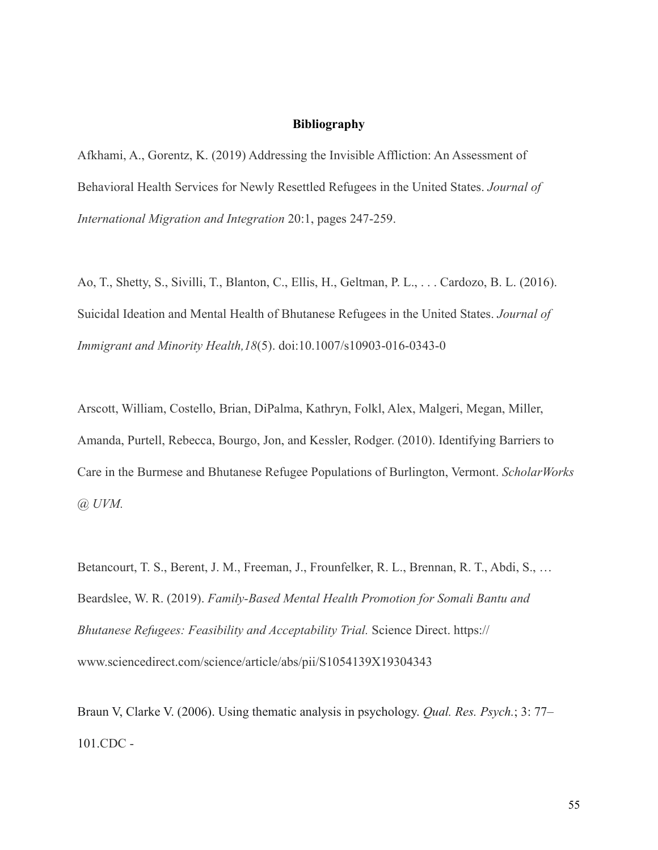# **Bibliography**

Afkhami, A., Gorentz, K. (2019) Addressing the Invisible Affliction: An Assessment of Behavioral Health Services for Newly Resettled Refugees in the United States. *Journal of International Migration and Integration* 20:1, pages 247-259.

Ao, T., Shetty, S., Sivilli, T., Blanton, C., Ellis, H., Geltman, P. L., . . . Cardozo, B. L. (2016). Suicidal Ideation and Mental Health of Bhutanese Refugees in the United States. *Journal of Immigrant and Minority Health,18*(5). doi:10.1007/s10903-016-0343-0

Arscott, William, Costello, Brian, DiPalma, Kathryn, Folkl, Alex, Malgeri, Megan, Miller, Amanda, Purtell, Rebecca, Bourgo, Jon, and Kessler, Rodger. (2010). Identifying Barriers to Care in the Burmese and Bhutanese Refugee Populations of Burlington, Vermont. *ScholarWorks @ UVM.*

Betancourt, T. S., Berent, J. M., Freeman, J., Frounfelker, R. L., Brennan, R. T., Abdi, S., … Beardslee, W. R. (2019). *Family-Based Mental Health Promotion for Somali Bantu and Bhutanese Refugees: Feasibility and Acceptability Trial.* Science Direct. https:// www.sciencedirect.com/science/article/abs/pii/S1054139X19304343

Braun V, Clarke V. (2006). Using thematic analysis in psychology. *Qual. Res. Psych.*; 3: 77– 101.CDC -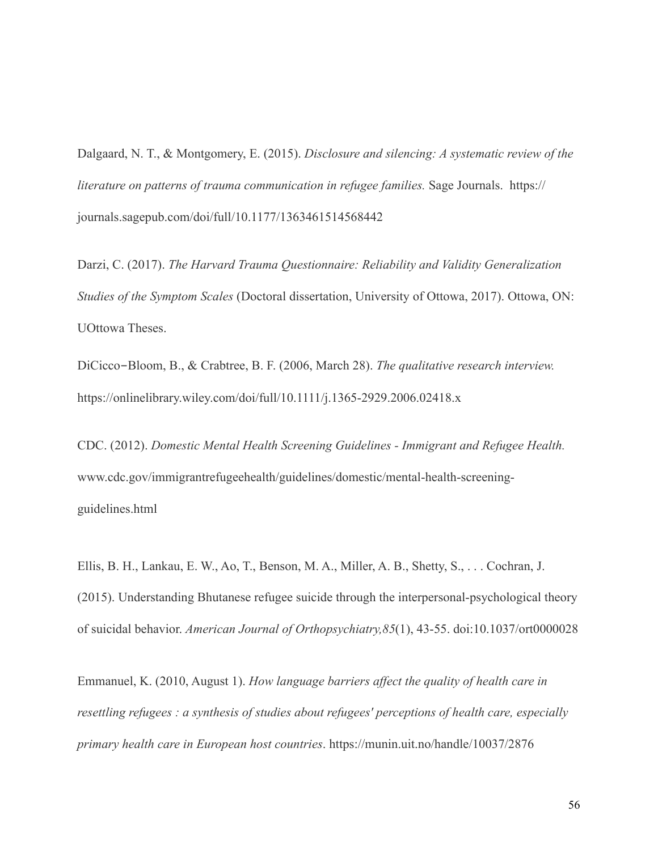Dalgaard, N. T., & Montgomery, E. (2015). *Disclosure and silencing: A systematic review of the literature on patterns of trauma communication in refugee families.* Sage Journals. https:// journals.sagepub.com/doi/full/10.1177/1363461514568442

Darzi, C. (2017). *The Harvard Trauma Questionnaire: Reliability and Validity Generalization Studies of the Symptom Scales* (Doctoral dissertation, University of Ottowa, 2017). Ottowa, ON: UOttowa Theses.

DiCicco-Bloom, B., & Crabtree, B. F. (2006, March 28). *The qualitative research interview.*  https://onlinelibrary.wiley.com/doi/full/10.1111/j.1365-2929.2006.02418.x

CDC. (2012). *Domestic Mental Health Screening Guidelines - Immigrant and Refugee Health.* www.cdc.gov/immigrantrefugeehealth/guidelines/domestic/mental-health-screeningguidelines.html

Ellis, B. H., Lankau, E. W., Ao, T., Benson, M. A., Miller, A. B., Shetty, S., . . . Cochran, J. (2015). Understanding Bhutanese refugee suicide through the interpersonal-psychological theory of suicidal behavior. *American Journal of Orthopsychiatry,85*(1), 43-55. doi:10.1037/ort0000028

Emmanuel, K. (2010, August 1). *How language barriers affect the quality of health care in resettling refugees : a synthesis of studies about refugees' perceptions of health care, especially primary health care in European host countries*. https://munin.uit.no/handle/10037/2876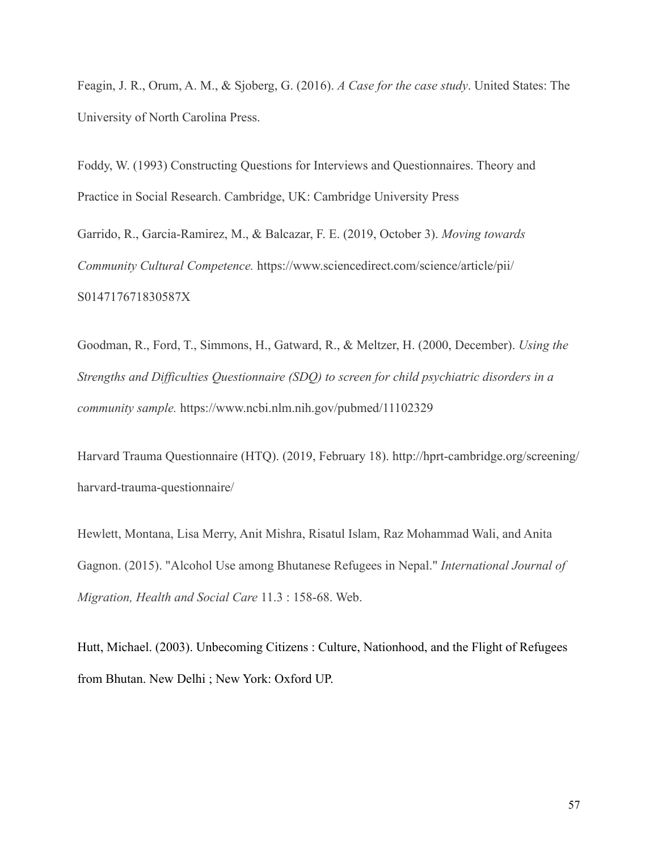Feagin, J. R., Orum, A. M., & Sjoberg, G. (2016). *A Case for the case study*. United States: The University of North Carolina Press.

Foddy, W. (1993) Constructing Questions for Interviews and Questionnaires. Theory and Practice in Social Research. Cambridge, UK: Cambridge University Press

Garrido, R., Garcia-Ramirez, M., & Balcazar, F. E. (2019, October 3). *Moving towards Community Cultural Competence.* https://www.sciencedirect.com/science/article/pii/ S014717671830587X

Goodman, R., Ford, T., Simmons, H., Gatward, R., & Meltzer, H. (2000, December). *Using the Strengths and Difficulties Questionnaire (SDQ) to screen for child psychiatric disorders in a community sample.* https://www.ncbi.nlm.nih.gov/pubmed/11102329

Harvard Trauma Questionnaire (HTQ). (2019, February 18). http://hprt-cambridge.org/screening/ harvard-trauma-questionnaire/

Hewlett, Montana, Lisa Merry, Anit Mishra, Risatul Islam, Raz Mohammad Wali, and Anita Gagnon. (2015). "Alcohol Use among Bhutanese Refugees in Nepal." *International Journal of Migration, Health and Social Care* 11.3 : 158-68. Web.

Hutt, Michael. (2003). Unbecoming Citizens : Culture, Nationhood, and the Flight of Refugees from Bhutan. New Delhi ; New York: Oxford UP.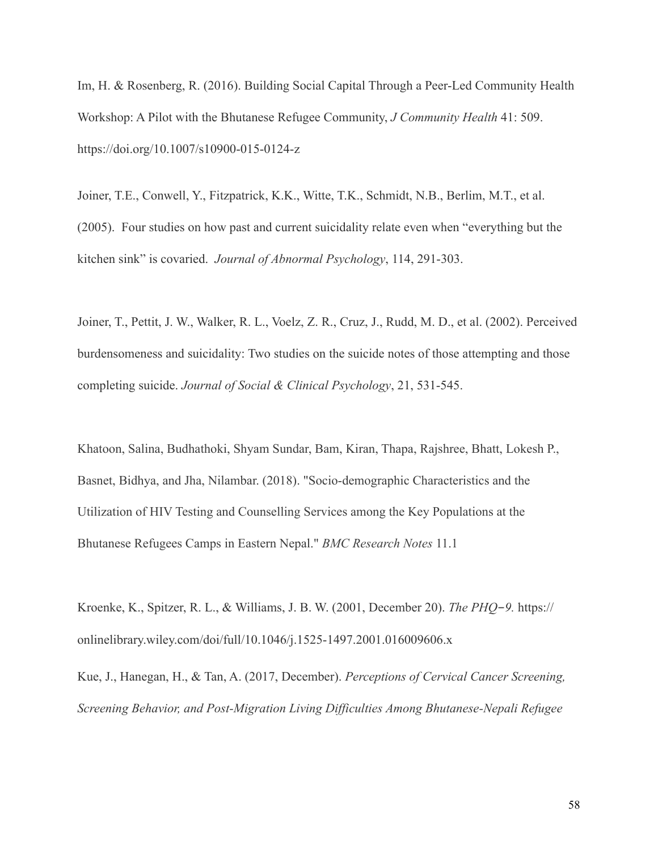Im, H. & Rosenberg, R. (2016). Building Social Capital Through a Peer-Led Community Health Workshop: A Pilot with the Bhutanese Refugee Community, *J Community Health* 41: 509. https://doi.org/10.1007/s10900-015-0124-z

Joiner, T.E., Conwell, Y., Fitzpatrick, K.K., Witte, T.K., Schmidt, N.B., Berlim, M.T., et al. (2005). Four studies on how past and current suicidality relate even when "everything but the kitchen sink" is covaried. *Journal of Abnormal Psychology*, 114, 291-303.

Joiner, T., Pettit, J. W., Walker, R. L., Voelz, Z. R., Cruz, J., Rudd, M. D., et al. (2002). Perceived burdensomeness and suicidality: Two studies on the suicide notes of those attempting and those completing suicide. *Journal of Social & Clinical Psychology*, 21, 531-545.

Khatoon, Salina, Budhathoki, Shyam Sundar, Bam, Kiran, Thapa, Rajshree, Bhatt, Lokesh P., Basnet, Bidhya, and Jha, Nilambar. (2018). "Socio-demographic Characteristics and the Utilization of HIV Testing and Counselling Services among the Key Populations at the Bhutanese Refugees Camps in Eastern Nepal." *BMC Research Notes* 11.1

Kroenke, K., Spitzer, R. L., & Williams, J. B. W. (2001, December 20). *The PHQ*-*9.* https:// onlinelibrary.wiley.com/doi/full/10.1046/j.1525-1497.2001.016009606.x

Kue, J., Hanegan, H., & Tan, A. (2017, December). *Perceptions of Cervical Cancer Screening, Screening Behavior, and Post-Migration Living Difficulties Among Bhutanese-Nepali Refugee*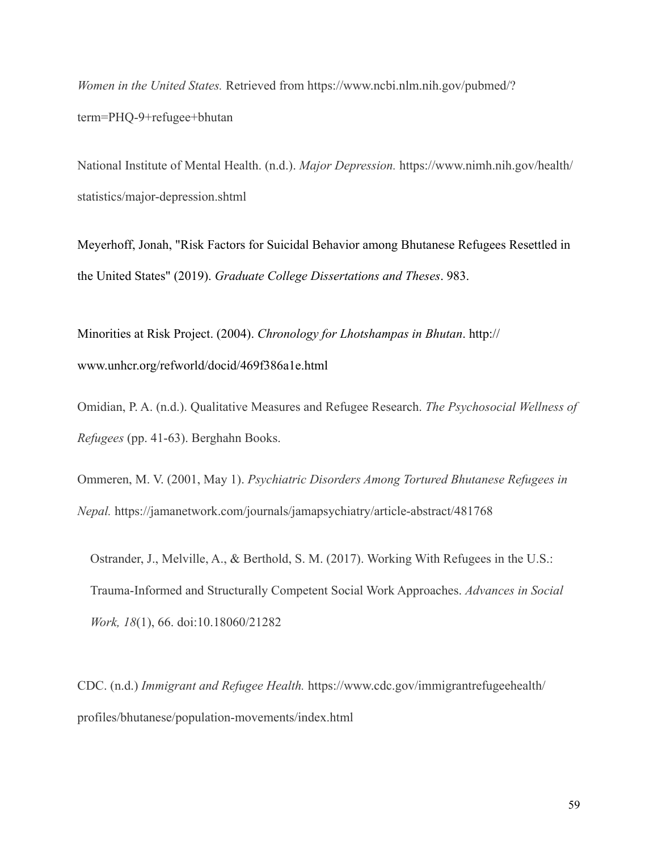*Women in the United States.* Retrieved from https://www.ncbi.nlm.nih.gov/pubmed/? term=PHQ-9+refugee+bhutan

National Institute of Mental Health. (n.d.). *Major Depression.* https://www.nimh.nih.gov/health/ statistics/major-depression.shtml

Meyerhoff, Jonah, "Risk Factors for Suicidal Behavior among Bhutanese Refugees Resettled in the United States" (2019). *Graduate College Dissertations and Theses*. 983.

Minorities at Risk Project. (2004). *Chronology for Lhotshampas in Bhutan*. http:// www.unhcr.org/refworld/docid/469f386a1e.html

Omidian, P. A. (n.d.). Qualitative Measures and Refugee Research. *The Psychosocial Wellness of Refugees* (pp. 41-63). Berghahn Books.

Ommeren, M. V. (2001, May 1). *Psychiatric Disorders Among Tortured Bhutanese Refugees in Nepal.* https://jamanetwork.com/journals/jamapsychiatry/article-abstract/481768

Ostrander, J., Melville, A., & Berthold, S. M. (2017). Working With Refugees in the U.S.: Trauma-Informed and Structurally Competent Social Work Approaches. *Advances in Social Work, 18*(1), 66. doi:10.18060/21282

CDC. (n.d.) *Immigrant and Refugee Health.* https://www.cdc.gov/immigrantrefugeehealth/ profiles/bhutanese/population-movements/index.html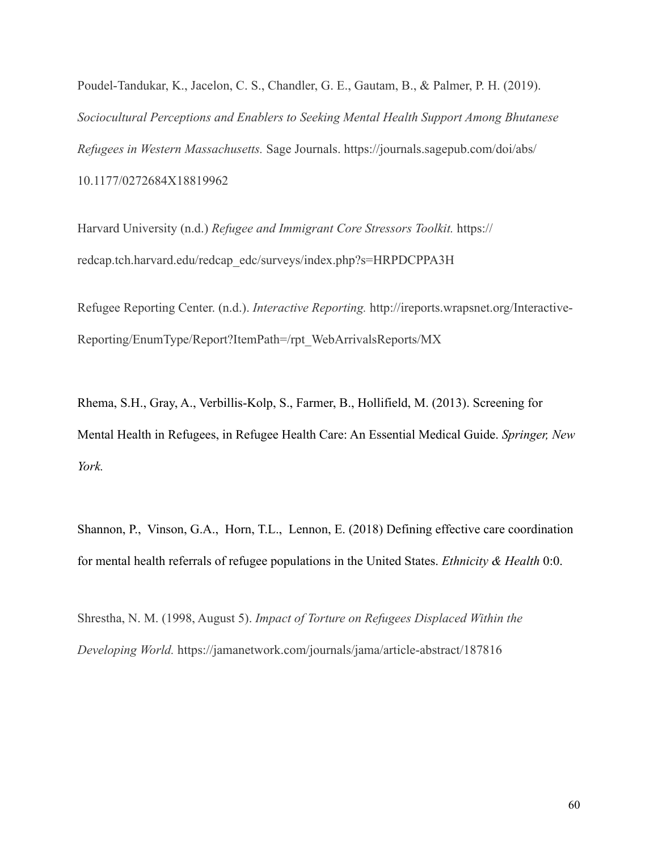Poudel-Tandukar, K., Jacelon, C. S., Chandler, G. E., Gautam, B., & Palmer, P. H. (2019). *Sociocultural Perceptions and Enablers to Seeking Mental Health Support Among Bhutanese Refugees in Western Massachusetts.* Sage Journals. https://journals.sagepub.com/doi/abs/ 10.1177/0272684X18819962

Harvard University (n.d.) *Refugee and Immigrant Core Stressors Toolkit.* https:// redcap.tch.harvard.edu/redcap\_edc/surveys/index.php?s=HRPDCPPA3H

Refugee Reporting Center. (n.d.). *Interactive Reporting.* http://ireports.wrapsnet.org/Interactive-Reporting/EnumType/Report?ItemPath=/rpt\_WebArrivalsReports/MX

Rhema, S.H., Gray, A., Verbillis-Kolp, S., Farmer, B., Hollifield, M. (2013). Screening for Mental Health in Refugees, in Refugee Health Care: An Essential Medical Guide. *Springer, New York.*

Shannon, P., Vinson, G.A., Horn, T.L., Lennon, E. (2018) Defining effective care coordination for mental health referrals of refugee populations in the United States. *Ethnicity & Health* 0:0.

Shrestha, N. M. (1998, August 5). *Impact of Torture on Refugees Displaced Within the Developing World.* https://jamanetwork.com/journals/jama/article-abstract/187816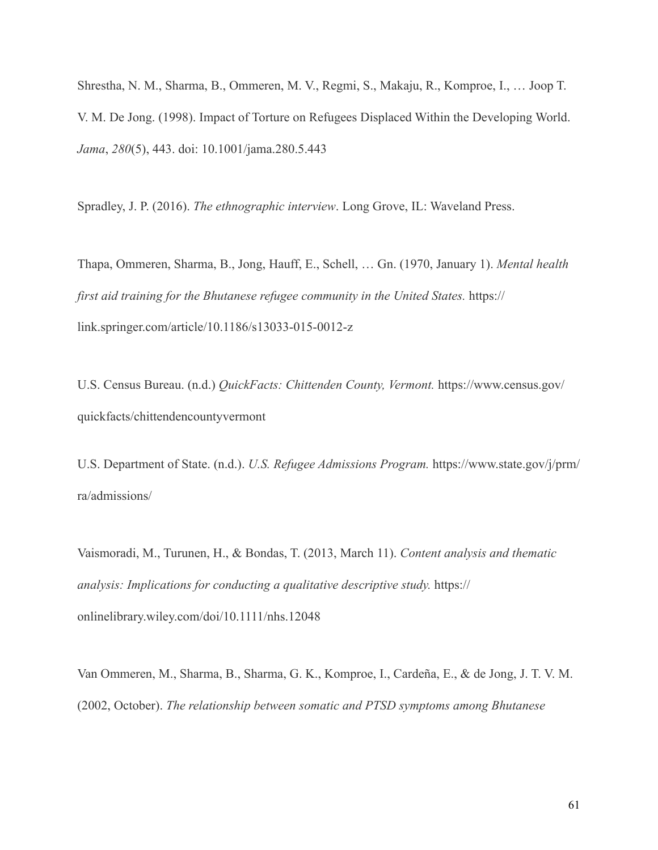Shrestha, N. M., Sharma, B., Ommeren, M. V., Regmi, S., Makaju, R., Komproe, I., … Joop T. V. M. De Jong. (1998). Impact of Torture on Refugees Displaced Within the Developing World. *Jama*, *280*(5), 443. doi: 10.1001/jama.280.5.443

Spradley, J. P. (2016). *The ethnographic interview*. Long Grove, IL: Waveland Press.

Thapa, Ommeren, Sharma, B., Jong, Hauff, E., Schell, … Gn. (1970, January 1). *Mental health first aid training for the Bhutanese refugee community in the United States.* https:// link.springer.com/article/10.1186/s13033-015-0012-z

U.S. Census Bureau. (n.d.) *QuickFacts: Chittenden County, Vermont.* https://www.census.gov/ quickfacts/chittendencountyvermont

U.S. Department of State. (n.d.). *U.S. Refugee Admissions Program.* https://www.state.gov/j/prm/ ra/admissions/

Vaismoradi, M., Turunen, H., & Bondas, T. (2013, March 11). *Content analysis and thematic analysis: Implications for conducting a qualitative descriptive study.* https:// onlinelibrary.wiley.com/doi/10.1111/nhs.12048

Van Ommeren, M., Sharma, B., Sharma, G. K., Komproe, I., Cardeña, E., & de Jong, J. T. V. M. (2002, October). *The relationship between somatic and PTSD symptoms among Bhutanese*